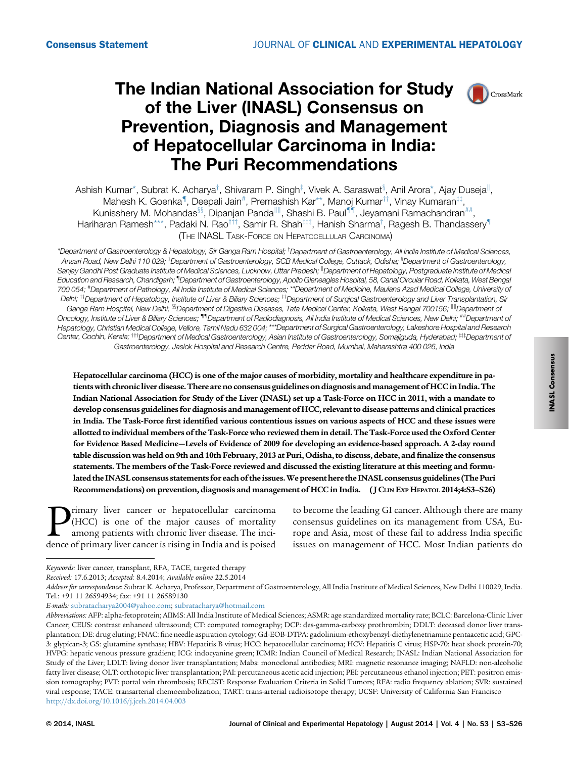# The Indian National Association for Study **CR** CrossMark of the Liver (INASL) Consensus on Prevention, Diagnosis and Management of Hepatocellular Carcinoma in India: The Puri Recommendations



Ashish Kumar $^*$ , Subrat K. Acharya $^\dagger$ , Shivaram P. Singh $^{\ddagger}$ , Vivek A. Saraswat $^{\rm 3}$ , Anil Arora $^*$ , Ajay Duseja $^{\parallel}$ , Mahesh K. Goenka<sup>¶</sup>, Deepali Jain<sup>#</sup>, Premashish Kar\*\*, Manoj Kumar<sup>††</sup>, Vinay Kumaran<sup>‡‡</sup>, Kunisshery M. Mohandas<sup>§§</sup>, Dipanjan Panda<sup>|| ||</sup>, Shashi B. Paul<sup>¶</sup> ||, Jeyamani Ramachandran<sup>##</sup> Hariharan Ramesh\*\*\*, Padaki N. Rao $^{\rm\text{\tiny{III}}},$  Samir R. Shah $^{\rm\text{\tiny{III}}},$  Hanish Sharma $^{\rm\text{\tiny{I}}},$  Ragesh B. Thandassery $^{\rm\text{\tiny{II}}}$ (THE INASL TASK-FORCE ON HEPATOCELLULAR CARCINOMA)

\*Department of Gastroenterology & Hepatology, Sir Ganga Ram Hospital; *`Department of Gastroenterology, All India Institute of Medical Sciences*, Ansari Road, New Delhi 110 029; <sup>‡</sup>Department of Gastroenterology, SCB Medical College, Cuttack, Odisha; <sup>»</sup>Department of Gastroenterology, Sanjay Gandhi Post Graduate Institute of Medical Sciences, Lucknow, Uttar Pradesh; "Department of Hepatology, Postgraduate Institute of Medical Education and Research, Chandigarh; "Department of Gastroenterology, Apollo Gleneagles Hospital, 58, Canal Circular Road, Kolkata, West Bengal 700 054; # Department of Pathology, All India Institute of Medical Sciences; \*\*Department of Medicine, Maulana Azad Medical College, University of Delhi; <sup>††</sup>Department of Hepatology, Institute of Liver & Biliary Sciences; <sup>‡‡</sup>Department of Surgical Gastroenterology and Liver Transplantation, Sir Ganga Ram Hospital, New Delhi; <sup>§§</sup>Department of Digestive Diseases, Tata Medical Center, Kolkata, West Bengal 700156; <sup>Ill</sup>Department of Oncology, Institute of Liver & Biliary Sciences; "IDepartment of Radiodiagnosis, All India Institute of Medical Sciences, New Delhi; ##Department of Hepatology, Christian Medical College, Vellore, Tamil Nadu 632 004;\*\*\*Department of Surgical Gastroenterology, Lakeshore Hospital and Research Center, Cochin, Kerala; <sup>†††</sup>Department of Medical Gastroenterology, Asian Institute of Gastroenterology, Somajiguda, Hyderabad; <sup>‡‡‡</sup>Department of Gastroenterology, Jaslok Hospital and Research Centre, Peddar Road, Mumbai, Maharashtra 400 026, India

Hepatocellular carcinoma (HCC) is one of the major causes of morbidity, mortality and healthcare expenditure in patients with chronic liver disease. There are no consensus guidelines on diagnosis and management of HCC in India. The Indian National Association for Study of the Liver (INASL) set up a Task-Force on HCC in 2011, with a mandate to develop consensus guidelines for diagnosis and management of HCC, relevant to disease patterns and clinical practices in India. The Task-Force first identified various contentious issues on various aspects of HCC and these issues were allotted to individual members of the Task-Force who reviewed them in detail. The Task-Force used the Oxford Center for Evidence Based Medicine—Levels of Evidence of 2009 for developing an evidence-based approach. A 2-day round table discussion was held on 9th and 10th February, 2013 at Puri, Odisha, to discuss, debate, and finalize the consensus statements. The members of the Task-Force reviewed and discussed the existing literature at this meeting and formulated the INASL consensus statements for each of the issues.We present here the INASL consensus guidelines (The Puri Recommendations) on prevention, diagnosis and management of HCC in India. ( J CLIN EXP HEPATOL 2014;4:S3–S26)

**P** (HCC) is one of the major causes of mortality among patients with chronic liver disease. The incidence of primary liver cancer is rising in India and is poised (HCC) is one of the major causes of mortality among patients with chronic liver disease. The incidence of primary liver cancer is rising in India and is poised

to become the leading GI cancer. Although there are many consensus guidelines on its management from USA, Europe and Asia, most of these fail to address India specific issues on management of HCC. Most Indian patients do

Keywords: liver cancer, transplant, RFA, TACE, targeted therapy

Received: 17.6.2013; Accepted: 8.4.2014; Available online 22.5.2014

Address for correspondence: Subrat K. Acharya, Professor, Department of Gastroenterology, All India Institute of Medical Sciences, New Delhi 110029, India. Tel.: +91 11 26594934; fax: +91 11 26589130

E-mails: [subratacharya2004@yahoo.com;](mailto:subratacharya2004@yahoo.com) [subratacharya@hotmail.com](mailto:subratacharya@hotmail.com)

Abbreviations: AFP: alpha-fetoprotein; AIIMS: All India Institute of Medical Sciences; ASMR: age standardized mortality rate; BCLC: Barcelona-Clinic Liver Cancer; CEUS: contrast enhanced ultrasound; CT: computed tomography; DCP: des-gamma-carboxy prothrombin; DDLT: deceased donor liver transplantation; DE: drug eluting; FNAC: fine needle aspiration cytology; Gd-EOB-DTPA: gadolinium-ethoxybenzyl-diethylenetriamine pentaacetic acid; GPC-3: glypican-3; GS: glutamine synthase; HBV: Hepatitis B virus; HCC: hepatocellular carcinoma; HCV: Hepatitis C virus; HSP-70: heat shock protein-70; HVPG: hepatic venous pressure gradient; ICG: indocyanine green; ICMR: Indian Council of Medical Research; INASL: Indian National Association for Study of the Liver; LDLT: living donor liver transplantation; Mabs: monoclonal antibodies; MRI: magnetic resonance imaging; NAFLD: non-alcoholic fatty liver disease; OLT: orthotopic liver transplantation; PAI: percutaneous acetic acid injection; PEI: percutaneous ethanol injection; PET: positron emission tomography; PVT: portal vein thrombosis; RECIST: Response Evaluation Criteria in Solid Tumors; RFA: radio frequency ablation; SVR: sustained viral response; TACE: transarterial chemoembolization; TART: trans-arterial radioisotope therapy; UCSF: University of California San Francisco <http://dx.doi.org/10.1016/j.jceh.2014.04.003>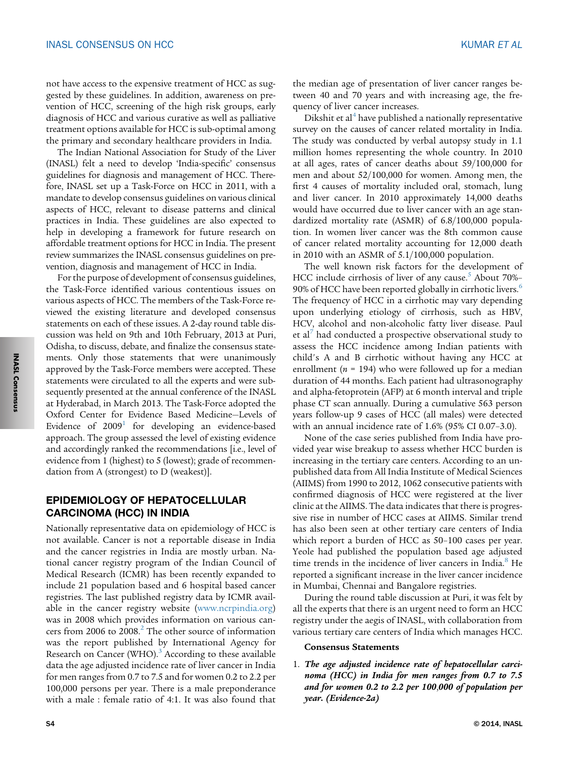not have access to the expensive treatment of HCC as suggested by these guidelines. In addition, awareness on prevention of HCC, screening of the high risk groups, early diagnosis of HCC and various curative as well as palliative treatment options available for HCC is sub-optimal among the primary and secondary healthcare providers in India.

The Indian National Association for Study of the Liver (INASL) felt a need to develop 'India-specific' consensus guidelines for diagnosis and management of HCC. Therefore, INASL set up a Task-Force on HCC in 2011, with a mandate to develop consensus guidelines on various clinical aspects of HCC, relevant to disease patterns and clinical practices in India. These guidelines are also expected to help in developing a framework for future research on affordable treatment options for HCC in India. The present review summarizes the INASL consensus guidelines on prevention, diagnosis and management of HCC in India.

For the purpose of development of consensus guidelines, the Task-Force identified various contentious issues on various aspects of HCC. The members of the Task-Force reviewed the existing literature and developed consensus statements on each of these issues. A 2-day round table discussion was held on 9th and 10th February, 2013 at Puri, Odisha, to discuss, debate, and finalize the consensus statements. Only those statements that were unanimously approved by the Task-Force members were accepted. These statements were circulated to all the experts and were subsequently presented at the annual conference of the INASL at Hyderabad, in March 2013. The Task-Force adopted the Oxford Center for Evidence Based Medicine—Levels of Evidence of  $2009<sup>1</sup>$  $2009<sup>1</sup>$  $2009<sup>1</sup>$  for developing an evidence-based approach. The group assessed the level of existing evidence and accordingly ranked the recommendations [i.e., level of evidence from 1 (highest) to 5 (lowest); grade of recommendation from A (strongest) to D (weakest)].

# EPIDEMIOLOGY OF HEPATOCELLULAR CARCINOMA (HCC) IN INDIA

Nationally representative data on epidemiology of HCC is not available. Cancer is not a reportable disease in India and the cancer registries in India are mostly urban. National cancer registry program of the Indian Council of Medical Research (ICMR) has been recently expanded to include 21 population based and 6 hospital based cancer registries. The last published registry data by ICMR available in the cancer registry website ([www.ncrpindia.org\)](http://www.ncrpindia.org) was in 2008 which provides information on various can-cers from [2](#page-16-0)006 to  $2008.<sup>2</sup>$  The other source of information was the report published by International Agency for Research on Cancer (WHO). $3$  According to these available data the age adjusted incidence rate of liver cancer in India for men ranges from 0.7 to 7.5 and for women 0.2 to 2.2 per 100,000 persons per year. There is a male preponderance with a male : female ratio of 4:1. It was also found that

the median age of presentation of liver cancer ranges between 40 and 70 years and with increasing age, the frequency of liver cancer increases.

Dikshit et al<sup>[4](#page-16-0)</sup> have published a nationally representative survey on the causes of cancer related mortality in India. The study was conducted by verbal autopsy study in 1.1 million homes representing the whole country. In 2010 at all ages, rates of cancer deaths about 59/100,000 for men and about 52/100,000 for women. Among men, the first 4 causes of mortality included oral, stomach, lung and liver cancer. In 2010 approximately 14,000 deaths would have occurred due to liver cancer with an age standardized mortality rate (ASMR) of 6.8/100,000 population. In women liver cancer was the 8th common cause of cancer related mortality accounting for 12,000 death in 2010 with an ASMR of 5.1/100,000 population.

The well known risk factors for the development of HCC include cirrhosis of liver of any cause.<sup>[5](#page-16-0)</sup> About 70%– 90% of HCC have been reported globally in cirrhotic livers.<sup>[6](#page-16-0)</sup> The frequency of HCC in a cirrhotic may vary depending upon underlying etiology of cirrhosis, such as HBV, HCV, alcohol and non-alcoholic fatty liver disease. Paul et al<sup>[7](#page-16-0)</sup> had conducted a prospective observational study to assess the HCC incidence among Indian patients with child's A and B cirrhotic without having any HCC at enrollment ( $n = 194$ ) who were followed up for a median duration of 44 months. Each patient had ultrasonography and alpha-fetoprotein (AFP) at 6 month interval and triple phase CT scan annually. During a cumulative 563 person years follow-up 9 cases of HCC (all males) were detected with an annual incidence rate of 1.6% (95% CI 0.07–3.0).

None of the case series published from India have provided year wise breakup to assess whether HCC burden is increasing in the tertiary care centers. According to an unpublished data from All India Institute of Medical Sciences (AIIMS) from 1990 to 2012, 1062 consecutive patients with confirmed diagnosis of HCC were registered at the liver clinic at the AIIMS. The data indicates that there is progressive rise in number of HCC cases at AIIMS. Similar trend has also been seen at other tertiary care centers of India which report a burden of HCC as 50–100 cases per year. Yeole had published the population based age adjusted time trends in the incidence of liver cancers in India.<sup>[8](#page-16-0)</sup> He reported a significant increase in the liver cancer incidence in Mumbai, Chennai and Bangalore registries.

During the round table discussion at Puri, it was felt by all the experts that there is an urgent need to form an HCC registry under the aegis of INASL, with collaboration from various tertiary care centers of India which manages HCC.

#### Consensus Statements

1. The age adjusted incidence rate of hepatocellular carcinoma (HCC) in India for men ranges from 0.7 to 7.5 and for women 0.2 to 2.2 per 100,000 of population per year. (Evidence-2a)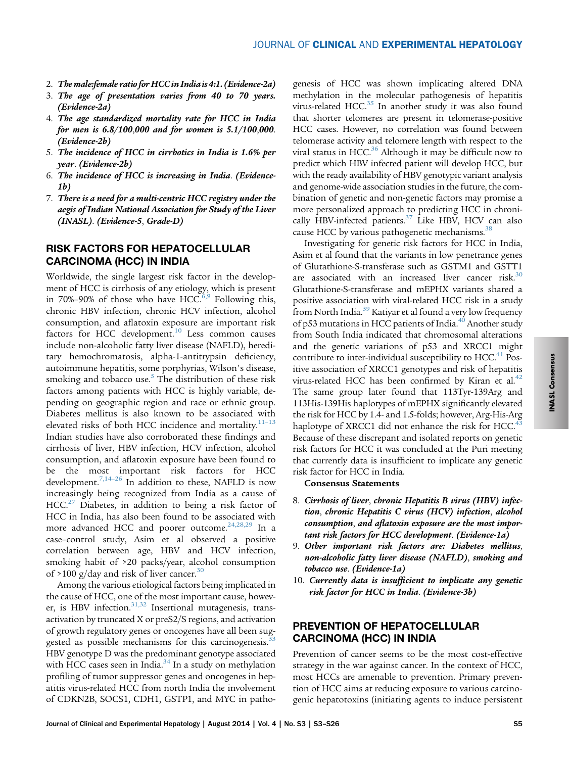- 2. The male: female ratio for HCC in India is 4:1. (Evidence-2a)
- 3. The age of presentation varies from 40 to 70 years. (Evidence-2a)
- 4. The age standardized mortality rate for HCC in India for men is 6.8/100,000 and for women is 5.1/100,000. (Evidence-2b)
- 5. The incidence of HCC in cirrhotics in India is 1.6% per year. (Evidence-2b)
- 6. The incidence of HCC is increasing in India. (Evidence-1b)
- 7. There is a need for a multi-centric HCC registry under the aegis of Indian National Association for Study of the Liver (INASL). (Evidence-5, Grade-D)

## RISK FACTORS FOR HEPATOCELLULAR CARCINOMA (HCC) IN INDIA

Worldwide, the single largest risk factor in the development of HCC is cirrhosis of any etiology, which is present in 70%–90% of those who have HCC. $6,9$  Following this, chronic HBV infection, chronic HCV infection, alcohol consumption, and aflatoxin exposure are important risk factors for HCC development.<sup>[10](#page-16-0)</sup> Less common causes include non-alcoholic fatty liver disease (NAFLD), hereditary hemochromatosis, alpha-1-antitrypsin deficiency, autoimmune hepatitis, some porphyrias, Wilson's disease, smoking and tobacco use. $5$  The distribution of these risk factors among patients with HCC is highly variable, depending on geographic region and race or ethnic group. Diabetes mellitus is also known to be associated with elevated risks of both HCC incidence and mortality. $11-13$  $11-13$ Indian studies have also corroborated these findings and cirrhosis of liver, HBV infection, HCV infection, alcohol consumption, and aflatoxin exposure have been found to be the most important risk factors for HCC development.<sup>[7,14](#page-16-0)–26</sup> In addition to these, NAFLD is now increasingly being recognized from India as a cause of  $HCC<sup>27</sup>$  $HCC<sup>27</sup>$  $HCC<sup>27</sup>$  Diabetes, in addition to being a risk factor of HCC in India, has also been found to be associated with more advanced HCC and poorer outcome.<sup>[24,28,29](#page-17-0)</sup> In a case–control study, Asim et al observed a positive correlation between age, HBV and HCV infection, smoking habit of >20 packs/year, alcohol consumption of >100 g/day and risk of liver cancer.<sup>[30](#page-17-0)</sup>

Among the various etiological factors being implicated in the cause of HCC, one of the most important cause, however, is HBV infection. $31,32$  Insertional mutagenesis, transactivation by truncated X or preS2/S regions, and activation of growth regulatory genes or oncogenes have all been suggested as possible mechanisms for this carcinogenesis.<sup>3</sup> HBV genotype D was the predominant genotype associated with HCC cases seen in India. $34$  In a study on methylation profiling of tumor suppressor genes and oncogenes in hepatitis virus-related HCC from north India the involvement of CDKN2B, SOCS1, CDH1, GSTP1, and MYC in patho-

genesis of HCC was shown implicating altered DNA methylation in the molecular pathogenesis of hepatitis virus-related HCC[.35](#page-17-0) In another study it was also found that shorter telomeres are present in telomerase-positive HCC cases. However, no correlation was found between telomerase activity and telomere length with respect to the viral status in HCC. $36$  Although it may be difficult now to predict which HBV infected patient will develop HCC, but with the ready availability of HBV genotypic variant analysis and genome-wide association studies in the future, the combination of genetic and non-genetic factors may promise a more personalized approach to predicting HCC in chronically HBV-infected patients.<sup>37</sup> Like HBV, HCV can also cause HCC by various pathogenetic mechanisms.<sup>[38](#page-17-0)</sup>

Investigating for genetic risk factors for HCC in India, Asim et al found that the variants in low penetrance genes of Glutathione-S-transferase such as GSTM1 and GSTT1 are associated with an increased liver cancer risk.<sup>[30](#page-17-0)</sup> Glutathione-S-transferase and mEPHX variants shared a positive association with viral-related HCC risk in a study from North India.<sup>[39](#page-17-0)</sup> Katiyar et al found a very low frequency of p53 mutations in HCC patients of India.<sup>[40](#page-17-0)</sup> Another study from South India indicated that chromosomal alterations and the genetic variations of p53 and XRCC1 might contribute to inter-individual susceptibility to HCC.<sup>[41](#page-17-0)</sup> Positive association of XRCC1 genotypes and risk of hepatitis virus-related HCC has been confirmed by Kiran et al. $42$ The same group later found that 113Tyr-139Arg and 113His-139His haplotypes of mEPHX significantly elevated the risk for HCC by 1.4- and 1.5-folds; however, Arg-His-Arg haplotype of XRCC1 did not enhance the risk for HCC.<sup>[43](#page-17-0)</sup> Because of these discrepant and isolated reports on genetic risk factors for HCC it was concluded at the Puri meeting that currently data is insufficient to implicate any genetic risk factor for HCC in India.

Consensus Statements

- 8. Cirrhosis of liver, chronic Hepatitis B virus (HBV) infection, chronic Hepatitis C virus (HCV) infection, alcohol consumption, and aflatoxin exposure are the most important risk factors for HCC development. (Evidence-1a)
- 9. Other important risk factors are: Diabetes mellitus, non-alcoholic fatty liver disease (NAFLD), smoking and tobacco use. (Evidence-1a)
- 10. Currently data is insufficient to implicate any genetic risk factor for HCC in India. (Evidence-3b)

## PREVENTION OF HEPATOCELLULAR CARCINOMA (HCC) IN INDIA

Prevention of cancer seems to be the most cost-effective strategy in the war against cancer. In the context of HCC, most HCCs are amenable to prevention. Primary prevention of HCC aims at reducing exposure to various carcinogenic hepatotoxins (initiating agents to induce persistent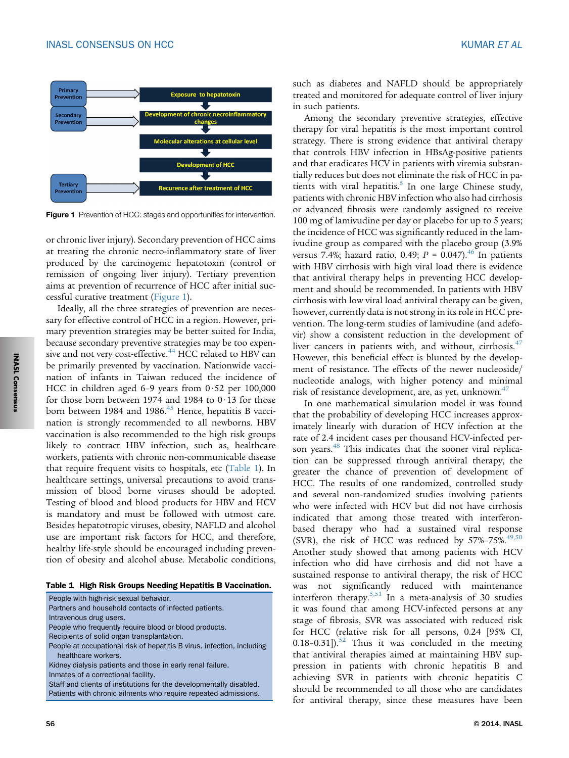<span id="page-3-0"></span>

**Figure 1** Prevention of HCC: stages and opportunities for intervention.

or chronic liver injury). Secondary prevention of HCC aims at treating the chronic necro-inflammatory state of liver produced by the carcinogenic hepatotoxin (control or remission of ongoing liver injury). Tertiary prevention aims at prevention of recurrence of HCC after initial successful curative treatment (Figure 1).

Ideally, all the three strategies of prevention are necessary for effective control of HCC in a region. However, primary prevention strategies may be better suited for India, because secondary preventive strategies may be too expen-sive and not very cost-effective.<sup>[44](#page-17-0)</sup> HCC related to HBV can be primarily prevented by vaccination. Nationwide vaccination of infants in Taiwan reduced the incidence of HCC in children aged 6-9 years from  $0.52$  per 100,000 for those born between 1974 and 1984 to  $0.13$  for those born between 1984 and 1986.<sup>45</sup> Hence, hepatitis B vaccination is strongly recommended to all newborns. HBV vaccination is also recommended to the high risk groups likely to contract HBV infection, such as, healthcare workers, patients with chronic non-communicable disease that require frequent visits to hospitals, etc (Table 1). In healthcare settings, universal precautions to avoid transmission of blood borne viruses should be adopted. Testing of blood and blood products for HBV and HCV is mandatory and must be followed with utmost care. Besides hepatotropic viruses, obesity, NAFLD and alcohol use are important risk factors for HCC, and therefore, healthy life-style should be encouraged including prevention of obesity and alcohol abuse. Metabolic conditions,

Table 1 High Risk Groups Needing Hepatitis B Vaccination.

People with high-risk sexual behavior. Partners and household contacts of infected patients. Intravenous drug users. People who frequently require blood or blood products. Recipients of solid organ transplantation. People at occupational risk of hepatitis B virus. infection, including healthcare workers. Kidney dialysis patients and those in early renal failure. Inmates of a correctional facility. Staff and clients of institutions for the developmentally disabled. Patients with chronic ailments who require repeated admissions.

such as diabetes and NAFLD should be appropriately treated and monitored for adequate control of liver injury in such patients.

Among the secondary preventive strategies, effective therapy for viral hepatitis is the most important control strategy. There is strong evidence that antiviral therapy that controls HBV infection in HBsAg-positive patients and that eradicates HCV in patients with viremia substantially reduces but does not eliminate the risk of HCC in patients with viral hepatitis. $5$  In one large Chinese study, patients with chronic HBV infection who also had cirrhosis or advanced fibrosis were randomly assigned to receive 100 mg of lamivudine per day or placebo for up to 5 years; the incidence of HCC was significantly reduced in the lamivudine group as compared with the placebo group (3.9% versus 7.4%; hazard ratio, 0.49;  $P = 0.047$ ).<sup>[46](#page-18-0)</sup> In patients with HBV cirrhosis with high viral load there is evidence that antiviral therapy helps in preventing HCC development and should be recommended. In patients with HBV cirrhosis with low viral load antiviral therapy can be given, however, currently data is not strong in its role in HCC prevention. The long-term studies of lamivudine (and adefovir) show a consistent reduction in the development of liver cancers in patients with, and without, cirrhosis.<sup>[47](#page-18-0)</sup> However, this beneficial effect is blunted by the development of resistance. The effects of the newer nucleoside/ nucleotide analogs, with higher potency and minimal risk of resistance development, are, as yet, unknown.<sup>[47](#page-18-0)</sup>

In one mathematical simulation model it was found that the probability of developing HCC increases approximately linearly with duration of HCV infection at the rate of 2.4 incident cases per thousand HCV-infected per-son years.<sup>[48](#page-18-0)</sup> This indicates that the sooner viral replication can be suppressed through antiviral therapy, the greater the chance of prevention of development of HCC. The results of one randomized, controlled study and several non-randomized studies involving patients who were infected with HCV but did not have cirrhosis indicated that among those treated with interferonbased therapy who had a sustained viral response (SVR), the risk of HCC was reduced by  $57\% - 75\%$ .<sup>[49,50](#page-18-0)</sup> Another study showed that among patients with HCV infection who did have cirrhosis and did not have a sustained response to antiviral therapy, the risk of HCC was not significantly reduced with maintenance interferon therapy.<sup>[5,51](#page-16-0)</sup> In a meta-analysis of 30 studies it was found that among HCV-infected persons at any stage of fibrosis, SVR was associated with reduced risk for HCC (relative risk for all persons, 0.24 [95% CI, 0.18-0.31]). $52$  Thus it was concluded in the meeting that antiviral therapies aimed at maintaining HBV suppression in patients with chronic hepatitis B and achieving SVR in patients with chronic hepatitis C should be recommended to all those who are candidates for antiviral therapy, since these measures have been

INASL Consensus Consensus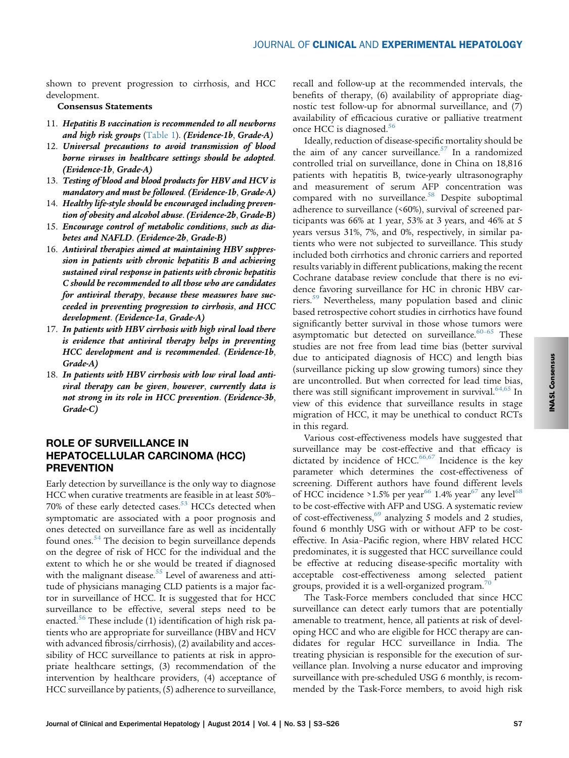shown to prevent progression to cirrhosis, and HCC development.

### Consensus Statements

- 11. Hepatitis B vaccination is recommended to all newborns and high risk groups  $(Table 1)$  $(Table 1)$ . (Evidence-1b, Grade-A)
- 12. Universal precautions to avoid transmission of blood borne viruses in healthcare settings should be adopted. (Evidence-1b, Grade-A)
- 13. Testing of blood and blood products for HBV and HCV is mandatory and must be followed. (Evidence-1b, Grade-A)
- 14. Healthy life-style should be encouraged including prevention of obesity and alcohol abuse. (Evidence-2b, Grade-B)
- 15. Encourage control of metabolic conditions, such as diabetes and NAFLD. (Evidence-2b, Grade-B)
- 16. Antiviral therapies aimed at maintaining HBV suppression in patients with chronic hepatitis B and achieving sustained viral response in patients with chronic hepatitis C should be recommended to all those who are candidates for antiviral therapy, because these measures have succeeded in preventing progression to cirrhosis, and HCC development. (Evidence-1a, Grade-A)
- 17. In patients with HBV cirrhosis with high viral load there is evidence that antiviral therapy helps in preventing HCC development and is recommended. (Evidence-1b, Grade-A)
- 18. In patients with HBV cirrhosis with low viral load antiviral therapy can be given, however, currently data is not strong in its role in HCC prevention. (Evidence-3b, Grade-C)

## ROLE OF SURVEILLANCE IN HEPATOCELLULAR CARCINOMA (HCC) **PREVENTION**

Early detection by surveillance is the only way to diagnose HCC when curative treatments are feasible in at least 50%– 70% of these early detected cases.<sup>[53](#page-18-0)</sup> HCCs detected when symptomatic are associated with a poor prognosis and ones detected on surveillance fare as well as incidentally found ones.<sup>[54](#page-18-0)</sup> The decision to begin surveillance depends on the degree of risk of HCC for the individual and the extent to which he or she would be treated if diagnosed with the malignant disease.<sup>[55](#page-18-0)</sup> Level of awareness and attitude of physicians managing CLD patients is a major factor in surveillance of HCC. It is suggested that for HCC surveillance to be effective, several steps need to be enacted.<sup>[56](#page-18-0)</sup> These include (1) identification of high risk patients who are appropriate for surveillance (HBV and HCV with advanced fibrosis/cirrhosis), (2) availability and accessibility of HCC surveillance to patients at risk in appropriate healthcare settings, (3) recommendation of the intervention by healthcare providers, (4) acceptance of HCC surveillance by patients, (5) adherence to surveillance,

recall and follow-up at the recommended intervals, the benefits of therapy, (6) availability of appropriate diagnostic test follow-up for abnormal surveillance, and (7) availability of efficacious curative or palliative treatment once HCC is diagnosed.<sup>[56](#page-18-0)</sup>

Ideally, reduction of disease-specific mortality should be the aim of any cancer surveillance. $57$  In a randomized controlled trial on surveillance, done in China on 18,816 patients with hepatitis B, twice-yearly ultrasonography and measurement of serum AFP concentration was compared with no surveillance.<sup>[58](#page-18-0)</sup> Despite suboptimal adherence to surveillance (<60%), survival of screened participants was 66% at 1 year, 53% at 3 years, and 46% at 5 years versus 31%, 7%, and 0%, respectively, in similar patients who were not subjected to surveillance. This study included both cirrhotics and chronic carriers and reported results variably in different publications, making the recent Cochrane database review conclude that there is no evidence favoring surveillance for HC in chronic HBV car-riers.<sup>[59](#page-18-0)</sup> Nevertheless, many population based and clinic based retrospective cohort studies in cirrhotics have found significantly better survival in those whose tumors were asymptomatic but detected on surveillance. $60-65$  $60-65$  These studies are not free from lead time bias (better survival due to anticipated diagnosis of HCC) and length bias (surveillance picking up slow growing tumors) since they are uncontrolled. But when corrected for lead time bias, there was still significant improvement in survival.<sup>[64,65](#page-18-0)</sup> In view of this evidence that surveillance results in stage migration of HCC, it may be unethical to conduct RCTs in this regard.

Various cost-effectiveness models have suggested that surveillance may be cost-effective and that efficacy is dictated by incidence of  $HCC$ .<sup>[66,67](#page-18-0)</sup> Incidence is the key parameter which determines the cost-effectiveness of screening. Different authors have found different levels of HCC incidence >1.5% per year<sup>[66](#page-18-0)</sup> 1.4% year<sup>[67](#page-18-0)</sup> any level<sup>68</sup> to be cost-effective with AFP and USG. A systematic review of cost-effectiveness,<sup>[69](#page-18-0)</sup> analyzing 5 models and 2 studies, found 6 monthly USG with or without AFP to be costeffective. In Asia–Pacific region, where HBV related HCC predominates, it is suggested that HCC surveillance could be effective at reducing disease-specific mortality with acceptable cost-effectiveness among selected patient groups, provided it is a well-organized program.<sup>7</sup>

The Task-Force members concluded that since HCC surveillance can detect early tumors that are potentially amenable to treatment, hence, all patients at risk of developing HCC and who are eligible for HCC therapy are candidates for regular HCC surveillance in India. The treating physician is responsible for the execution of surveillance plan. Involving a nurse educator and improving surveillance with pre-scheduled USG 6 monthly, is recommended by the Task-Force members, to avoid high risk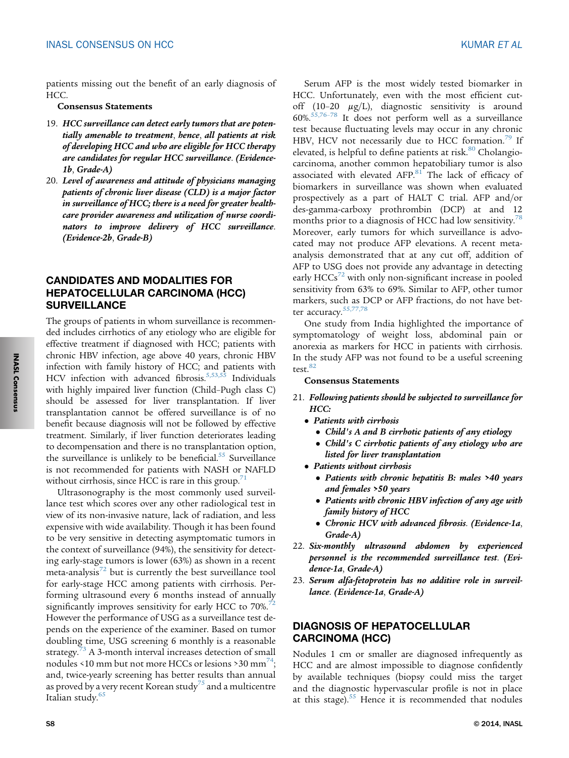patients missing out the benefit of an early diagnosis of HCC.

## Consensus Statements

- 19. HCC surveillance can detect early tumors that are potentially amenable to treatment, hence, all patients at risk of developing HCC and who are eligible for HCC therapy are candidates for regular HCC surveillance. (Evidence-1b, Grade-A)
- 20. Level of awareness and attitude of physicians managing patients of chronic liver disease (CLD) is a major factor in surveillance of HCC; there is a need for greater healthcare provider awareness and utilization of nurse coordinators to improve delivery of HCC surveillance. (Evidence-2b, Grade-B)

# CANDIDATES AND MODALITIES FOR HEPATOCELLULAR CARCINOMA (HCC) **SURVEILLANCE**

The groups of patients in whom surveillance is recommended includes cirrhotics of any etiology who are eligible for effective treatment if diagnosed with HCC; patients with chronic HBV infection, age above 40 years, chronic HBV infection with family history of HCC; and patients with HCV infection with advanced fibrosis.<sup>[5,53,55](#page-16-0)</sup> Individuals with highly impaired liver function (Child–Pugh class C) should be assessed for liver transplantation. If liver transplantation cannot be offered surveillance is of no benefit because diagnosis will not be followed by effective treatment. Similarly, if liver function deteriorates leading to decompensation and there is no transplantation option, the surveillance is unlikely to be beneficial.<sup>[55](#page-18-0)</sup> Surveillance is not recommended for patients with NASH or NAFLD without cirrhosis, since HCC is rare in this group.<sup>71</sup>

Ultrasonography is the most commonly used surveillance test which scores over any other radiological test in view of its non-invasive nature, lack of radiation, and less expensive with wide availability. Though it has been found to be very sensitive in detecting asymptomatic tumors in the context of surveillance (94%), the sensitivity for detecting early-stage tumors is lower (63%) as shown in a recent meta-analysis $72$  but is currently the best surveillance tool for early-stage HCC among patients with cirrhosis. Performing ultrasound every 6 months instead of annually significantly improves sensitivity for early HCC to 70%.<sup>[72](#page-18-0)</sup> However the performance of USG as a surveillance test depends on the experience of the examiner. Based on tumor doubling time, USG screening 6 monthly is a reasonable strategy.<sup>[73](#page-18-0)</sup> A 3-month interval increases detection of small nodules <10 mm but not more HCCs or lesions >30 mm<sup>[74](#page-18-0)</sup>; and, twice-yearly screening has better results than annual as proved by a very recent Korean study<sup>[75](#page-18-0)</sup> and a multicentre Italian study.<sup>[65](#page-18-0)</sup>

Serum AFP is the most widely tested biomarker in HCC. Unfortunately, even with the most efficient cutoff (10-20  $\mu$ g/L), diagnostic sensitivity is around 60%[.55,76](#page-18-0)–<sup>78</sup> It does not perform well as a surveillance test because fluctuating levels may occur in any chronic HBV, HCV not necessarily due to HCC formation.<sup>[79](#page-19-0)</sup> If elevated, is helpful to define patients at risk. $80$  Cholangiocarcinoma, another common hepatobiliary tumor is also associated with elevated AFP. $81$  The lack of efficacy of biomarkers in surveillance was shown when evaluated prospectively as a part of HALT C trial. AFP and/or des-gamma-carboxy prothrombin (DCP) at and 12 months prior to a diagnosis of HCC had low sensitivity.<sup>[78](#page-19-0)</sup> Moreover, early tumors for which surveillance is advocated may not produce AFP elevations. A recent metaanalysis demonstrated that at any cut off, addition of AFP to USG does not provide any advantage in detecting early  $HCCs^{72}$  $HCCs^{72}$  $HCCs^{72}$  with only non-significant increase in pooled sensitivity from 63% to 69%. Similar to AFP, other tumor markers, such as DCP or AFP fractions, do not have bet-ter accuracy.<sup>[55,77,78](#page-18-0)</sup>

One study from India highlighted the importance of symptomatology of weight loss, abdominal pain or anorexia as markers for HCC in patients with cirrhosis. In the study AFP was not found to be a useful screening test.<sup>[82](#page-19-0)</sup>

#### Consensus Statements

- 21. Following patients should be subjected to surveillance for HCC:
	- Patients with cirrhosis
		- Child's A and B cirrhotic patients of any etiology
		- Child's C cirrhotic patients of any etiology who are listed for liver transplantation
	- Patients without cirrhosis
		- Patients with chronic hepatitis B: males >40 years and females >50 years
		- Patients with chronic HBV infection of any age with family history of HCC
		- Chronic HCV with advanced fibrosis. (Evidence-1a, Grade-A)
- 22. Six-monthly ultrasound abdomen by experienced personnel is the recommended surveillance test. (Evidence-1a, Grade-A)
- 23. Serum alfa-fetoprotein has no additive role in surveillance. (Evidence-1a, Grade-A)

## DIAGNOSIS OF HEPATOCELLULAR CARCINOMA (HCC)

Nodules 1 cm or smaller are diagnosed infrequently as HCC and are almost impossible to diagnose confidently by available techniques (biopsy could miss the target and the diagnostic hypervascular profile is not in place at this stage). $55$  Hence it is recommended that nodules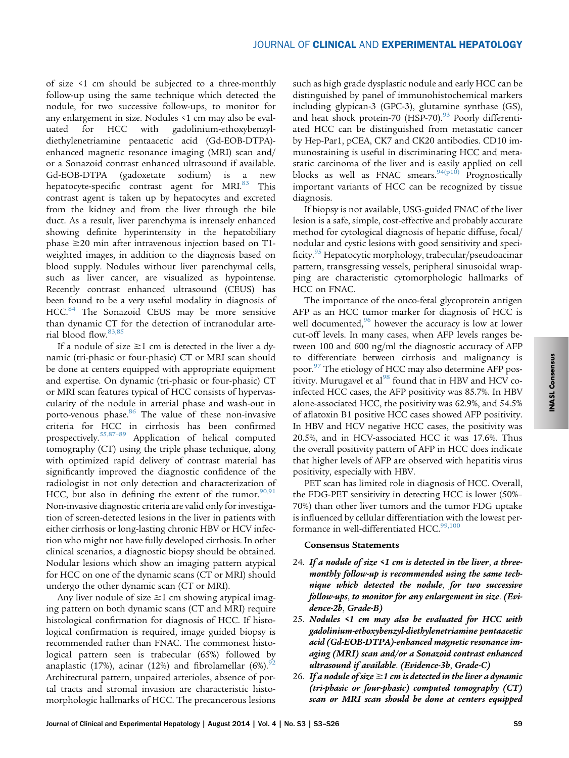of size <1 cm should be subjected to a three-monthly follow-up using the same technique which detected the nodule, for two successive follow-ups, to monitor for any enlargement in size. Nodules <1 cm may also be evaluated for HCC with gadolinium-ethoxybenzyldiethylenetriamine pentaacetic acid (Gd-EOB-DTPA) enhanced magnetic resonance imaging (MRI) scan and/ or a Sonazoid contrast enhanced ultrasound if available. Gd-EOB-DTPA (gadoxetate sodium) is a new hepatocyte-specific contrast agent for MRI.<sup>[83](#page-19-0)</sup> This contrast agent is taken up by hepatocytes and excreted from the kidney and from the liver through the bile duct. As a result, liver parenchyma is intensely enhanced showing definite hyperintensity in the hepatobiliary phase  $\geq$ 20 min after intravenous injection based on T1weighted images, in addition to the diagnosis based on blood supply. Nodules without liver parenchymal cells, such as liver cancer, are visualized as hypointense. Recently contrast enhanced ultrasound (CEUS) has been found to be a very useful modality in diagnosis of HCC.<sup>[84](#page-19-0)</sup> The Sonazoid CEUS may be more sensitive than dynamic CT for the detection of intranodular arterial blood flow.[83,85](#page-19-0)

If a nodule of size  $\geq$ 1 cm is detected in the liver a dynamic (tri-phasic or four-phasic) CT or MRI scan should be done at centers equipped with appropriate equipment and expertise. On dynamic (tri-phasic or four-phasic) CT or MRI scan features typical of HCC consists of hypervascularity of the nodule in arterial phase and wash-out in porto-venous phase.<sup>[86](#page-19-0)</sup> The value of these non-invasive criteria for HCC in cirrhosis has been confirmed prospectively.[55,87](#page-18-0)–<sup>89</sup> Application of helical computed tomography (CT) using the triple phase technique, along with optimized rapid delivery of contrast material has significantly improved the diagnostic confidence of the radiologist in not only detection and characterization of HCC, but also in defining the extent of the tumor. $90,91$ Non-invasive diagnostic criteria are valid only for investigation of screen-detected lesions in the liver in patients with either cirrhosis or long-lasting chronic HBV or HCV infection who might not have fully developed cirrhosis. In other clinical scenarios, a diagnostic biopsy should be obtained. Nodular lesions which show an imaging pattern atypical for HCC on one of the dynamic scans (CT or MRI) should undergo the other dynamic scan (CT or MRI).

Any liver nodule of size  $\geq$ 1 cm showing atypical imaging pattern on both dynamic scans (CT and MRI) require histological confirmation for diagnosis of HCC. If histological confirmation is required, image guided biopsy is recommended rather than FNAC. The commonest histological pattern seen is trabecular (65%) followed by anaplastic (17%), acinar (12%) and fibrolamellar (6%). $^{92}$  $^{92}$  $^{92}$ Architectural pattern, unpaired arterioles, absence of portal tracts and stromal invasion are characteristic histomorphologic hallmarks of HCC. The precancerous lesions

such as high grade dysplastic nodule and early HCC can be distinguished by panel of immunohistochemical markers including glypican-3 (GPC-3), glutamine synthase (GS), and heat shock protein-70 (HSP-70).<sup>[93](#page-19-0)</sup> Poorly differentiated HCC can be distinguished from metastatic cancer by Hep-Par1, pCEA, CK7 and CK20 antibodies. CD10 immunostaining is useful in discriminating HCC and metastatic carcinoma of the liver and is easily applied on cell blocks as well as FNAC smears.  $94(p10)$  Prognostically important variants of HCC can be recognized by tissue diagnosis.

If biopsy is not available, USG-guided FNAC of the liver lesion is a safe, simple, cost-effective and probably accurate method for cytological diagnosis of hepatic diffuse, focal/ nodular and cystic lesions with good sensitivity and specificity.[95](#page-19-0) Hepatocytic morphology, trabecular/pseudoacinar pattern, transgressing vessels, peripheral sinusoidal wrapping are characteristic cytomorphologic hallmarks of HCC on FNAC.

The importance of the onco-fetal glycoprotein antigen AFP as an HCC tumor marker for diagnosis of HCC is well documented,  $96$  however the accuracy is low at lower cut-off levels. In many cases, when AFP levels ranges between 100 and 600 ng/ml the diagnostic accuracy of AFP to differentiate between cirrhosis and malignancy is poor.[97](#page-19-0) The etiology of HCC may also determine AFP positivity. Murugavel et al $98$  found that in HBV and HCV coinfected HCC cases, the AFP positivity was 85.7%. In HBV alone-associated HCC, the positivity was 62.9%, and 54.5% of aflatoxin B1 positive HCC cases showed AFP positivity. In HBV and HCV negative HCC cases, the positivity was 20.5%, and in HCV-associated HCC it was 17.6%. Thus the overall positivity pattern of AFP in HCC does indicate that higher levels of AFP are observed with hepatitis virus positivity, especially with HBV.

PET scan has limited role in diagnosis of HCC. Overall, the FDG-PET sensitivity in detecting HCC is lower (50%– 70%) than other liver tumors and the tumor FDG uptake is influenced by cellular differentiation with the lowest performance in well-differentiated HCC.<sup>99,100</sup>

#### Consensus Statements

- 24. If a nodule of size  $\leq 1$  cm is detected in the liver, a threemonthly follow-up is recommended using the same technique which detected the nodule, for two successive follow-ups, to monitor for any enlargement in size. (Evidence-2b, Grade-B)
- 25. Nodules <1 cm may also be evaluated for HCC with gadolinium-ethoxybenzyl-diethylenetriamine pentaacetic acid (Gd-EOB-DTPA)-enhanced magnetic resonance imaging (MRI) scan and/or a Sonazoid contrast enhanced ultrasound if available. (Evidence-3b, Grade-C)
- 26. If a nodule of size  $\geq$ 1 cm is detected in the liver a dynamic (tri-phasic or four-phasic) computed tomography (CT) scan or MRI scan should be done at centers equipped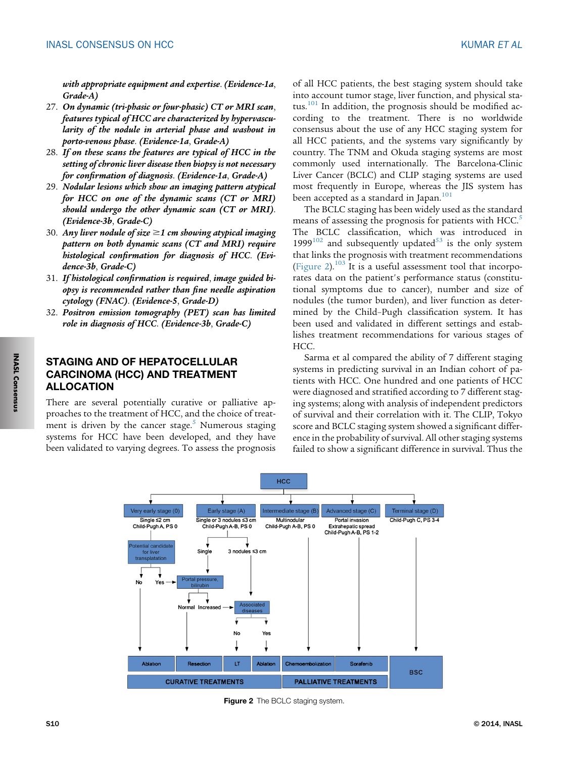with appropriate equipment and expertise. (Evidence-1a, Grade-A)

- 27. On dynamic (tri-phasic or four-phasic) CT or MRI scan, features typical of HCC are characterized by hypervascularity of the nodule in arterial phase and washout in porto-venous phase. (Evidence-1a, Grade-A)
- 28. If on these scans the features are typical of HCC in the setting of chronic liver disease then biopsy is not necessary for confirmation of diagnosis. (Evidence-1a, Grade-A)
- 29. Nodular lesions which show an imaging pattern atypical for HCC on one of the dynamic scans (CT or MRI) should undergo the other dynamic scan (CT or MRI). (Evidence-3b, Grade-C)
- 30. Any liver nodule of size  $\geq$ 1 cm showing atypical imaging pattern on both dynamic scans (CT and MRI) require histological confirmation for diagnosis of HCC. (Evidence-3b, Grade-C)
- 31. If histological confirmation is required, image guided biopsy is recommended rather than fine needle aspiration cytology (FNAC). (Evidence-5, Grade-D)
- 32. Positron emission tomography (PET) scan has limited role in diagnosis of HCC. (Evidence-3b, Grade-C)

# STAGING AND OF HEPATOCELLULAR CARCINOMA (HCC) AND TREATMENT ALLOCATION

There are several potentially curative or palliative approaches to the treatment of HCC, and the choice of treatment is driven by the cancer stage. $5$  Numerous staging systems for HCC have been developed, and they have been validated to varying degrees. To assess the prognosis

of all HCC patients, the best staging system should take into account tumor stage, liver function, and physical sta-tus.<sup>[101](#page-19-0)</sup> In addition, the prognosis should be modified according to the treatment. There is no worldwide consensus about the use of any HCC staging system for all HCC patients, and the systems vary significantly by country. The TNM and Okuda staging systems are most commonly used internationally. The Barcelona-Clinic Liver Cancer (BCLC) and CLIP staging systems are used most frequently in Europe, whereas the JIS system has been accepted as a standard in Japan.<sup>[101](#page-19-0)</sup>

The BCLC staging has been widely used as the standard means of assessing the prognosis for patients with HCC.<sup>[5](#page-16-0)</sup> The BCLC classification, which was introduced in 1999 $102$  and subsequently updated<sup>[53](#page-18-0)</sup> is the only system that links the prognosis with treatment recommendations (Figure 2).<sup>[103](#page-19-0)</sup> It is a useful assessment tool that incorporates data on the patient's performance status (constitutional symptoms due to cancer), number and size of nodules (the tumor burden), and liver function as determined by the Child–Pugh classification system. It has been used and validated in different settings and establishes treatment recommendations for various stages of HCC.

Sarma et al compared the ability of 7 different staging systems in predicting survival in an Indian cohort of patients with HCC. One hundred and one patients of HCC were diagnosed and stratified according to 7 different staging systems; along with analysis of independent predictors of survival and their correlation with it. The CLIP, Tokyo score and BCLC staging system showed a significant difference in the probability of survival. All other staging systems failed to show a significant difference in survival. Thus the



Figure 2 The BCLC staging system.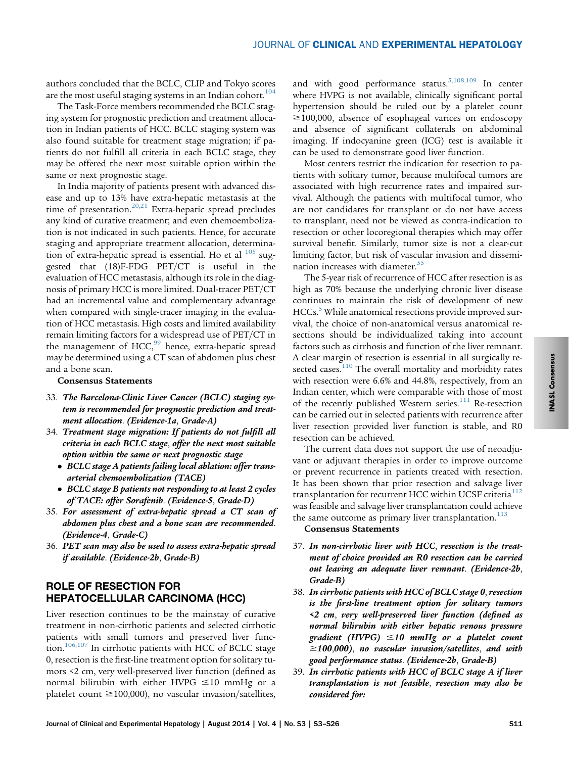authors concluded that the BCLC, CLIP and Tokyo scores are the most useful staging systems in an Indian cohort.<sup>[104](#page-19-0)</sup>

The Task-Force members recommended the BCLC staging system for prognostic prediction and treatment allocation in Indian patients of HCC. BCLC staging system was also found suitable for treatment stage migration; if patients do not fulfill all criteria in each BCLC stage, they may be offered the next most suitable option within the same or next prognostic stage.

In India majority of patients present with advanced disease and up to 13% have extra-hepatic metastasis at the time of presentation.<sup>[20,21](#page-17-0)</sup> Extra-hepatic spread precludes any kind of curative treatment; and even chemoembolization is not indicated in such patients. Hence, for accurate staging and appropriate treatment allocation, determination of extra-hepatic spread is essential. Ho et al  $105$  suggested that (18)F-FDG PET/CT is useful in the evaluation of HCC metastasis, although its role in the diagnosis of primary HCC is more limited. Dual-tracer PET/CT had an incremental value and complementary advantage when compared with single-tracer imaging in the evaluation of HCC metastasis. High costs and limited availability remain limiting factors for a widespread use of PET/CT in the management of  $HCC<sup>99</sup>$  $HCC<sup>99</sup>$  $HCC<sup>99</sup>$  hence, extra-hepatic spread may be determined using a CT scan of abdomen plus chest and a bone scan.

#### Consensus Statements

- 33. The Barcelona-Clinic Liver Cancer (BCLC) staging system is recommended for prognostic prediction and treatment allocation. (Evidence-1a, Grade-A)
- 34. Treatment stage migration: If patients do not fulfill all criteria in each BCLC stage, offer the next most suitable option within the same or next prognostic stage
	- BCLC stage A patients failing local ablation: offer transarterial chemoembolization (TACE)
	- BCLC stage B patients not responding to at least 2 cycles of TACE: offer Sorafenib. (Evidence-5, Grade-D)
- 35. For assessment of extra-hepatic spread a CT scan of abdomen plus chest and a bone scan are recommended. (Evidence-4, Grade-C)
- 36. PET scan may also be used to assess extra-hepatic spread if available. (Evidence-2b, Grade-B)

# ROLE OF RESECTION FOR HEPATOCELLULAR CARCINOMA (HCC)

Liver resection continues to be the mainstay of curative treatment in non-cirrhotic patients and selected cirrhotic patients with small tumors and preserved liver function.[106,107](#page-19-0) In cirrhotic patients with HCC of BCLC stage 0, resection is the first-line treatment option for solitary tumors <2 cm, very well-preserved liver function (defined as normal bilirubin with either HVPG  $\leq$ 10 mmHg or a platelet count  $\geq$ 100,000), no vascular invasion/satellites,

and with good performance status.<sup>[5,108,109](#page-16-0)</sup> In center where HVPG is not available, clinically significant portal hypertension should be ruled out by a platelet count  $\geq$ 100,000, absence of esophageal varices on endoscopy and absence of significant collaterals on abdominal imaging. If indocyanine green (ICG) test is available it can be used to demonstrate good liver function.

Most centers restrict the indication for resection to patients with solitary tumor, because multifocal tumors are associated with high recurrence rates and impaired survival. Although the patients with multifocal tumor, who are not candidates for transplant or do not have access to transplant, need not be viewed as contra-indication to resection or other locoregional therapies which may offer survival benefit. Similarly, tumor size is not a clear-cut limiting factor, but risk of vascular invasion and dissemi-nation increases with diameter.<sup>[55](#page-18-0)</sup>

The 5-year risk of recurrence of HCC after resection is as high as 70% because the underlying chronic liver disease continues to maintain the risk of development of new HCCs.<sup>[5](#page-16-0)</sup> While anatomical resections provide improved survival, the choice of non-anatomical versus anatomical resections should be individualized taking into account factors such as cirrhosis and function of the liver remnant. A clear margin of resection is essential in all surgically re-sected cases.<sup>[110](#page-20-0)</sup> The overall mortality and morbidity rates with resection were 6.6% and 44.8%, respectively, from an Indian center, which were comparable with those of most of the recently published Western series.<sup>[111](#page-20-0)</sup> Re-resection can be carried out in selected patients with recurrence after liver resection provided liver function is stable, and R0 resection can be achieved.

The current data does not support the use of neoadjuvant or adjuvant therapies in order to improve outcome or prevent recurrence in patients treated with resection. It has been shown that prior resection and salvage liver transplantation for recurrent HCC within UCSF criteria<sup>[112](#page-20-0)</sup> was feasible and salvage liver transplantation could achieve the same outcome as primary liver transplantation.<sup>[113](#page-20-0)</sup>

### Consensus Statements

- 37. In non-cirrhotic liver with HCC, resection is the treatment of choice provided an R0 resection can be carried out leaving an adequate liver remnant. (Evidence-2b, Grade-B)
- 38. In cirrhotic patients with HCC of BCLC stage 0, resection is the first-line treatment option for solitary tumors <2 cm, very well-preserved liver function (defined as normal bilirubin with either hepatic venous pressure gradient (HVPG)  $\leq 10$  mmHg or a platelet count  $\geq$ 100,000), no vascular invasion/satellites, and with good performance status. (Evidence-2b, Grade-B)
- 39. In cirrhotic patients with HCC of BCLC stage A if liver transplantation is not feasible, resection may also be considered for: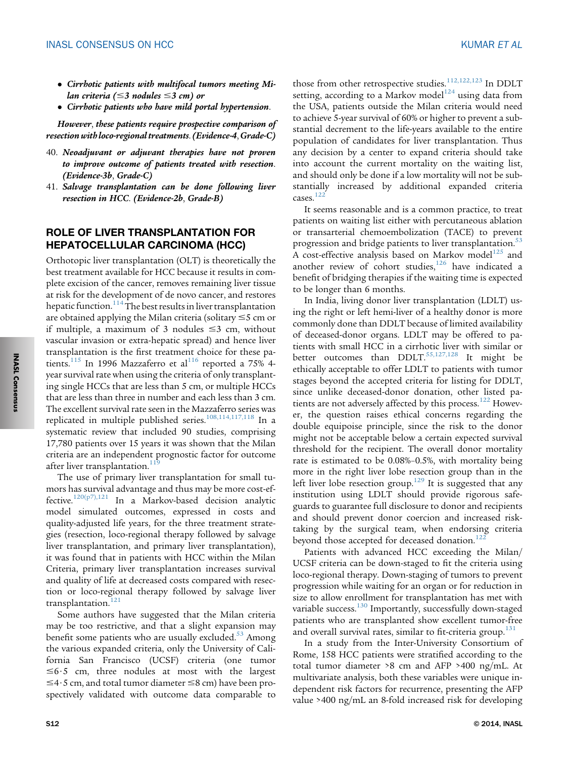- Cirrhotic patients with multifocal tumors meeting Milan criteria ( $\leq$ 3 nodules  $\leq$ 3 cm) or
- Cirrhotic patients who have mild portal hypertension.

However, these patients require prospective comparison of resection with loco-regional treatments.(Evidence-4,Grade-C)

- 40. Neoadjuvant or adjuvant therapies have not proven to improve outcome of patients treated with resection. (Evidence-3b, Grade-C)
- 41. Salvage transplantation can be done following liver resection in HCC. (Evidence-2b, Grade-B)

## ROLE OF LIVER TRANSPLANTATION FOR HEPATOCELLULAR CARCINOMA (HCC)

Orthotopic liver transplantation (OLT) is theoretically the best treatment available for HCC because it results in complete excision of the cancer, removes remaining liver tissue at risk for the development of de novo cancer, and restores hepatic function. $114$ The best results in liver transplantation are obtained applying the Milan criteria (solitary  $\leq$ 5 cm or if multiple, a maximum of 3 nodules  $\leq$ 3 cm, without vascular invasion or extra-hepatic spread) and hence liver transplantation is the first treatment choice for these pa-tients.<sup>[115](#page-20-0)</sup> In 1996 Mazzaferro et al<sup>[116](#page-20-0)</sup> reported a 75% 4year survival rate when using the criteria of only transplanting single HCCs that are less than 5 cm, or multiple HCCs that are less than three in number and each less than 3 cm. The excellent survival rate seen in the Mazzaferro series was replicated in multiple published series.<sup>[108,114,117,118](#page-19-0)</sup> In a systematic review that included 90 studies, comprising 17,780 patients over 15 years it was shown that the Milan criteria are an independent prognostic factor for outcome after liver transplantation.<sup>1</sup>

The use of primary liver transplantation for small tumors has survival advantage and thus may be more cost-effective.[120\(p7\),121](#page-20-0) In a Markov-based decision analytic model simulated outcomes, expressed in costs and quality-adjusted life years, for the three treatment strategies (resection, loco-regional therapy followed by salvage liver transplantation, and primary liver transplantation), it was found that in patients with HCC within the Milan Criteria, primary liver transplantation increases survival and quality of life at decreased costs compared with resection or loco-regional therapy followed by salvage liver transplantation.<sup>[121](#page-20-0)</sup>

Some authors have suggested that the Milan criteria may be too restrictive, and that a slight expansion may benefit some patients who are usually excluded. $53$  Among the various expanded criteria, only the University of California San Francisco (UCSF) criteria (one tumor  $\leq$ 6.5 cm, three nodules at most with the largest  $\leq$ 4.5 cm, and total tumor diameter  $\leq$ 8 cm) have been prospectively validated with outcome data comparable to those from other retrospective studies.<sup>[112,122,123](#page-20-0)</sup> In DDLT setting, according to a Markov model<sup>[124](#page-20-0)</sup> using data from the USA, patients outside the Milan criteria would need to achieve 5-year survival of 60% or higher to prevent a substantial decrement to the life-years available to the entire population of candidates for liver transplantation. Thus any decision by a center to expand criteria should take into account the current mortality on the waiting list, and should only be done if a low mortality will not be substantially increased by additional expanded criteria cases. $122$ 

It seems reasonable and is a common practice, to treat patients on waiting list either with percutaneous ablation or transarterial chemoembolization (TACE) to prevent progression and bridge patients to liver transplantation.<sup>[53](#page-18-0)</sup> A cost-effective analysis based on Markov model<sup>[125](#page-20-0)</sup> and another review of cohort studies, $126$  have indicated a benefit of bridging therapies if the waiting time is expected to be longer than 6 months.

In India, living donor liver transplantation (LDLT) using the right or left hemi-liver of a healthy donor is more commonly done than DDLT because of limited availability of deceased-donor organs. LDLT may be offered to patients with small HCC in a cirrhotic liver with similar or better outcomes than  $DDLT$ <sup>[55,127,128](#page-18-0)</sup> It might be ethically acceptable to offer LDLT to patients with tumor stages beyond the accepted criteria for listing for DDLT, since unlike deceased-donor donation, other listed pa-tients are not adversely affected by this process.<sup>[122](#page-20-0)</sup> However, the question raises ethical concerns regarding the double equipoise principle, since the risk to the donor might not be acceptable below a certain expected survival threshold for the recipient. The overall donor mortality rate is estimated to be 0.08%–0.5%, with mortality being more in the right liver lobe resection group than in the left liver lobe resection group.<sup>129</sup> It is suggested that any institution using LDLT should provide rigorous safeguards to guarantee full disclosure to donor and recipients and should prevent donor coercion and increased risktaking by the surgical team, when endorsing criteria beyond those accepted for deceased donation.<sup>[122](#page-20-0)</sup>

Patients with advanced HCC exceeding the Milan/ UCSF criteria can be down-staged to fit the criteria using loco-regional therapy. Down-staging of tumors to prevent progression while waiting for an organ or for reduction in size to allow enrollment for transplantation has met with variable success.<sup>[130](#page-20-0)</sup> Importantly, successfully down-staged patients who are transplanted show excellent tumor-free and overall survival rates, similar to fit-criteria group.<sup>[131](#page-20-0)</sup>

In a study from the Inter-University Consortium of Rome, 158 HCC patients were stratified according to the total tumor diameter >8 cm and AFP >400 ng/mL. At multivariate analysis, both these variables were unique independent risk factors for recurrence, presenting the AFP value >400 ng/mL an 8-fold increased risk for developing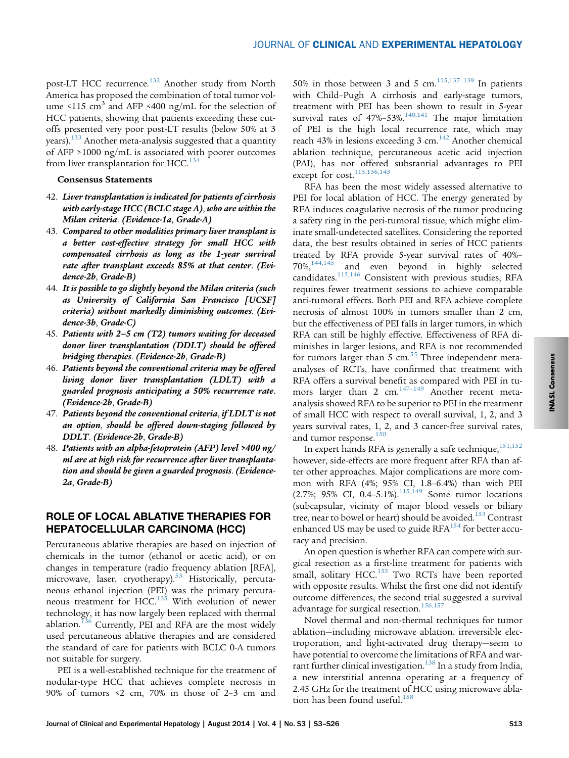post-LT HCC recurrence.<sup>[132](#page-20-0)</sup> Another study from North America has proposed the combination of total tumor volume  $\langle 115 \text{ cm}^3 \rangle$  and AFP  $\langle 400 \text{ ng/mL} \rangle$  for the selection of HCC patients, showing that patients exceeding these cutoffs presented very poor post-LT results (below 50% at 3 years).[133](#page-20-0) Another meta-analysis suggested that a quantity of AFP >1000 ng/mL is associated with poorer outcomes from liver transplantation for HCC. $^{134}$  $^{134}$  $^{134}$ 

#### Consensus Statements

- 42. Liver transplantation is indicated for patients of cirrhosis with early-stage HCC (BCLC stage A), who are within the Milan criteria. (Evidence-1a, Grade-A)
- 43. Compared to other modalities primary liver transplant is a better cost-effective strategy for small HCC with compensated cirrhosis as long as the 1-year survival rate after transplant exceeds 85% at that center. (Evidence-2b, Grade-B)
- 44. It is possible to go slightly beyond the Milan criteria (such as University of California San Francisco [UCSF] criteria) without markedly diminishing outcomes. (Evidence-3b, Grade-C)
- 45. Patients with 2–5 cm (T2) tumors waiting for deceased donor liver transplantation (DDLT) should be offered bridging therapies. (Evidence-2b, Grade-B)
- 46. Patients beyond the conventional criteria may be offered living donor liver transplantation (LDLT) with a guarded prognosis anticipating a 50% recurrence rate. (Evidence-2b, Grade-B)
- 47. Patients beyond the conventional criteria, if LDLT is not an option, should be offered down-staging followed by DDLT. (Evidence-2b, Grade-B)
- 48. Patients with an alpha-fetoprotein (AFP) level >400 ng/ ml are at high risk for recurrence after liver transplantation and should be given a guarded prognosis. (Evidence-2a, Grade-B)

## ROLE OF LOCAL ABLATIVE THERAPIES FOR HEPATOCELLULAR CARCINOMA (HCC)

Percutaneous ablative therapies are based on injection of chemicals in the tumor (ethanol or acetic acid), or on changes in temperature (radio frequency ablation [RFA], microwave, laser, cryotherapy).<sup>[53](#page-18-0)</sup> Historically, percutaneous ethanol injection (PEI) was the primary percuta-neous treatment for HCC.<sup>[135](#page-20-0)</sup> With evolution of newer technology, it has now largely been replaced with thermal ablation. $136$  Currently, PEI and RFA are the most widely used percutaneous ablative therapies and are considered the standard of care for patients with BCLC 0-A tumors not suitable for surgery.

PEI is a well-established technique for the treatment of nodular-type HCC that achieves complete necrosis in 90% of tumors <2 cm, 70% in those of 2–3 cm and

50% in those between 3 and 5 cm.<sup>[115,137](#page-20-0)-139</sup> In patients with Child–Pugh A cirrhosis and early-stage tumors, treatment with PEI has been shown to result in 5-year survival rates of  $47\% - 53\%$ .<sup>140,141</sup> The major limitation of PEI is the high local recurrence rate, which may reach 43% in lesions exceeding 3 cm.<sup>[142](#page-20-0)</sup> Another chemical ablation technique, percutaneous acetic acid injection (PAI), has not offered substantial advantages to PEI except for cost.<sup>115,136,143</sup>

RFA has been the most widely assessed alternative to PEI for local ablation of HCC. The energy generated by RFA induces coagulative necrosis of the tumor producing a safety ring in the peri-tumoral tissue, which might eliminate small-undetected satellites. Considering the reported data, the best results obtained in series of HCC patients treated by RFA provide 5-year survival rates of 40%–<br>70%,<sup>144,145</sup> and even beyond in highly selected and even beyond in highly selected candidates.[115,146](#page-20-0) Consistent with previous studies, RFA requires fewer treatment sessions to achieve comparable anti-tumoral effects. Both PEI and RFA achieve complete necrosis of almost 100% in tumors smaller than 2 cm, but the effectiveness of PEI falls in larger tumors, in which RFA can still be highly effective. Effectiveness of RFA diminishes in larger lesions, and RFA is not recommended for tumors larger than 5 cm. $55$  Three independent metaanalyses of RCTs, have confirmed that treatment with RFA offers a survival benefit as compared with PEI in tumors larger than 2 cm. $147-149$  $147-149$  Another recent metaanalysis showed RFA to be superior to PEI in the treatment of small HCC with respect to overall survival, 1, 2, and 3 years survival rates, 1, 2, and 3 cancer-free survival rates, and tumor response.<sup>[150](#page-21-0)</sup>

In expert hands RFA is generally a safe technique,  $151,152$ however, side-effects are more frequent after RFA than after other approaches. Major complications are more common with RFA (4%; 95% CI, 1.8–6.4%) than with PEI (2.7%; 95% CI, 0.4–5.1%).<sup>[115,149](#page-20-0)</sup> Some tumor locations (subcapsular, vicinity of major blood vessels or biliary tree, near to bowel or heart) should be avoided.<sup>[153](#page-21-0)</sup> Contrast enhanced US may be used to guide  $RFA^{154}$  $RFA^{154}$  $RFA^{154}$  for better accuracy and precision.

An open question is whether RFA can compete with surgical resection as a first-line treatment for patients with small, solitary HCC.<sup>[155](#page-21-0)</sup> Two RCTs have been reported with opposite results. Whilst the first one did not identify outcome differences, the second trial suggested a survival advantage for surgical resection.<sup>[156,157](#page-21-0)</sup>

Novel thermal and non-thermal techniques for tumor ablation—including microwave ablation, irreversible electroporation, and light-activated drug therapy—seem to have potential to overcome the limitations of RFA and war-rant further clinical investigation.<sup>[138](#page-20-0)</sup> In a study from India, a new interstitial antenna operating at a frequency of 2.45 GHz for the treatment of HCC using microwave abla-tion has been found useful.<sup>[158](#page-21-0)</sup>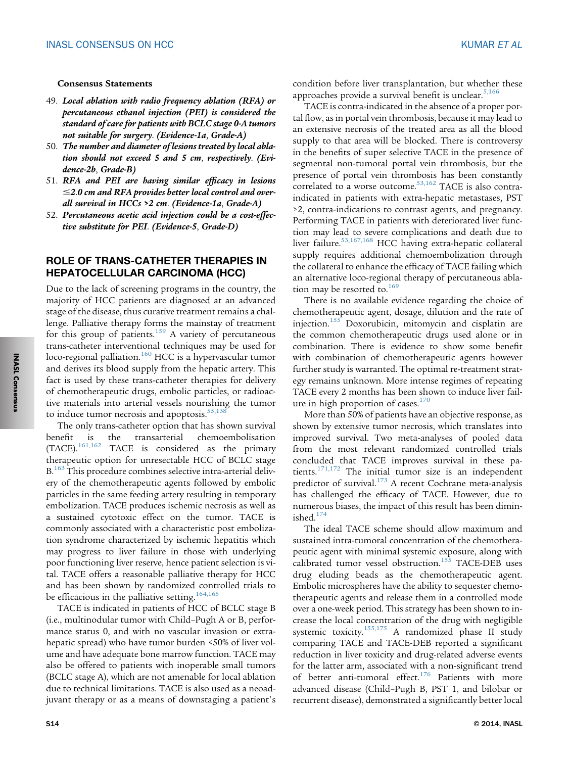#### Consensus Statements

- 49. Local ablation with radio frequency ablation (RFA) or percutaneous ethanol injection (PEI) is considered the standard of care for patients with BCLC stage 0-A tumors not suitable for surgery. (Evidence-1a, Grade-A)
- 50. The number and diameter of lesions treated by local ablation should not exceed 5 and 5 cm, respectively. (Evidence-2b, Grade-B)
- 51. RFA and PEI are having similar efficacy in lesions  $\leq$ 2.0 cm and RFA provides better local control and overall survival in HCCs >2 cm. (Evidence-1a, Grade-A)
- 52. Percutaneous acetic acid injection could be a cost-effective substitute for PEI. (Evidence-5, Grade-D)

## ROLE OF TRANS-CATHETER THERAPIES IN HEPATOCELLULAR CARCINOMA (HCC)

Due to the lack of screening programs in the country, the majority of HCC patients are diagnosed at an advanced stage of the disease, thus curative treatment remains a challenge. Palliative therapy forms the mainstay of treatment for this group of patients. $159$  A variety of percutaneous trans-catheter interventional techniques may be used for loco-regional palliation. $160$  HCC is a hypervascular tumor and derives its blood supply from the hepatic artery. This fact is used by these trans-catheter therapies for delivery of chemotherapeutic drugs, embolic particles, or radioactive materials into arterial vessels nourishing the tumor to induce tumor necrosis and apoptosis.<sup>[55,138](#page-18-0)</sup>

The only trans-catheter option that has shown survival benefit is the transarterial chemoembolisation (TACE).[161,162](#page-21-0) TACE is considered as the primary therapeutic option for unresectable HCC of BCLC stage B.<sup>[163](#page-21-0)</sup> This procedure combines selective intra-arterial delivery of the chemotherapeutic agents followed by embolic particles in the same feeding artery resulting in temporary embolization. TACE produces ischemic necrosis as well as a sustained cytotoxic effect on the tumor. TACE is commonly associated with a characteristic post embolization syndrome characterized by ischemic hepatitis which may progress to liver failure in those with underlying poor functioning liver reserve, hence patient selection is vital. TACE offers a reasonable palliative therapy for HCC and has been shown by randomized controlled trials to be efficacious in the palliative setting.<sup>[164,165](#page-21-0)</sup>

TACE is indicated in patients of HCC of BCLC stage B (i.e., multinodular tumor with Child–Pugh A or B, performance status 0, and with no vascular invasion or extrahepatic spread) who have tumor burden <50% of liver volume and have adequate bone marrow function. TACE may also be offered to patients with inoperable small tumors (BCLC stage A), which are not amenable for local ablation due to technical limitations. TACE is also used as a neoadjuvant therapy or as a means of downstaging a patient's condition before liver transplantation, but whether these approaches provide a survival benefit is unclear. $5,166$ 

TACE is contra-indicated in the absence of a proper portal flow, as in portal vein thrombosis, because it may lead to an extensive necrosis of the treated area as all the blood supply to that area will be blocked. There is controversy in the benefits of super selective TACE in the presence of segmental non-tumoral portal vein thrombosis, but the presence of portal vein thrombosis has been constantly correlated to a worse outcome.<sup>[53,162](#page-18-0)</sup> TACE is also contraindicated in patients with extra-hepatic metastases, PST >2, contra-indications to contrast agents, and pregnancy. Performing TACE in patients with deteriorated liver function may lead to severe complications and death due to liver failure.<sup>53,167,168</sup> HCC having extra-hepatic collateral supply requires additional chemoembolization through the collateral to enhance the efficacy of TACE failing which an alternative loco-regional therapy of percutaneous abla-tion may be resorted to.<sup>[169](#page-21-0)</sup>

There is no available evidence regarding the choice of chemotherapeutic agent, dosage, dilution and the rate of injection.<sup>[155](#page-21-0)</sup> Doxorubicin, mitomycin and cisplatin are the common chemotherapeutic drugs used alone or in combination. There is evidence to show some benefit with combination of chemotherapeutic agents however further study is warranted. The optimal re-treatment strategy remains unknown. More intense regimes of repeating TACE every 2 months has been shown to induce liver fail-ure in high proportion of cases.<sup>[170](#page-21-0)</sup>

More than 50% of patients have an objective response, as shown by extensive tumor necrosis, which translates into improved survival. Two meta-analyses of pooled data from the most relevant randomized controlled trials concluded that TACE improves survival in these patients. $171,172$  The initial tumor size is an independent predictor of survival.<sup>173</sup> A recent Cochrane meta-analysis has challenged the efficacy of TACE. However, due to numerous biases, the impact of this result has been diminished.[174](#page-22-0)

The ideal TACE scheme should allow maximum and sustained intra-tumoral concentration of the chemotherapeutic agent with minimal systemic exposure, along with calibrated tumor vessel obstruction.<sup>[155](#page-21-0)</sup> TACE-DEB uses drug eluding beads as the chemotherapeutic agent. Embolic microspheres have the ability to sequester chemotherapeutic agents and release them in a controlled mode over a one-week period. This strategy has been shown to increase the local concentration of the drug with negligible systemic toxicity.<sup>[155,175](#page-21-0)</sup> A randomized phase II study comparing TACE and TACE-DEB reported a significant reduction in liver toxicity and drug-related adverse events for the latter arm, associated with a non-significant trend of better anti-tumoral effect.<sup>[176](#page-22-0)</sup> Patients with more advanced disease (Child–Pugh B, PST 1, and bilobar or recurrent disease), demonstrated a significantly better local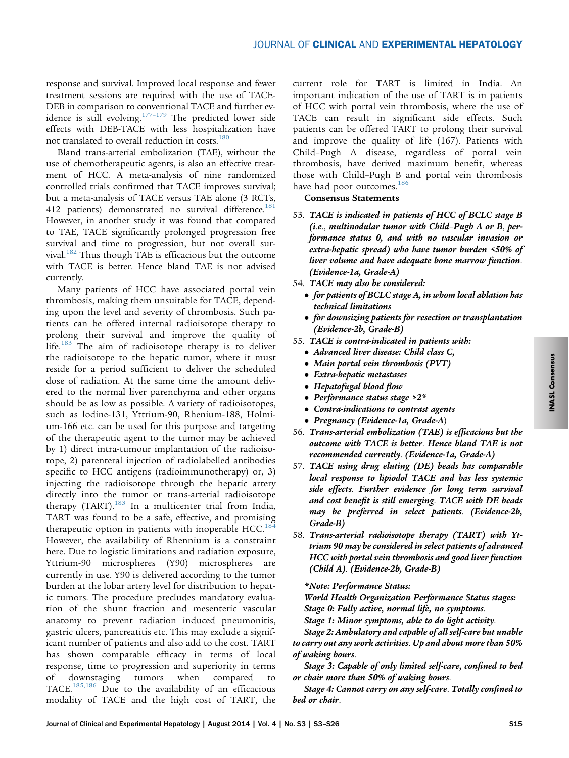response and survival. Improved local response and fewer treatment sessions are required with the use of TACE-DEB in comparison to conventional TACE and further ev-idence is still evolving.<sup>[177](#page-22-0)-179</sup> The predicted lower side effects with DEB-TACE with less hospitalization have not translated to overall reduction in costs.<sup>[180](#page-22-0)</sup>

Bland trans-arterial embolization (TAE), without the use of chemotherapeutic agents, is also an effective treatment of HCC. A meta-analysis of nine randomized controlled trials confirmed that TACE improves survival; but a meta-analysis of TACE versus TAE alone (3 RCTs, 412 patients) demonstrated no survival difference.<sup>[181](#page-22-0)</sup> However, in another study it was found that compared to TAE, TACE significantly prolonged progression free survival and time to progression, but not overall sur-vival.<sup>[182](#page-22-0)</sup> Thus though TAE is efficacious but the outcome with TACE is better. Hence bland TAE is not advised currently.

Many patients of HCC have associated portal vein thrombosis, making them unsuitable for TACE, depending upon the level and severity of thrombosis. Such patients can be offered internal radioisotope therapy to prolong their survival and improve the quality of life. $183$  The aim of radioisotope therapy is to deliver the radioisotope to the hepatic tumor, where it must reside for a period sufficient to deliver the scheduled dose of radiation. At the same time the amount delivered to the normal liver parenchyma and other organs should be as low as possible. A variety of radioisotopes, such as lodine-131, Yttrium-90, Rhenium-188, Holmium-166 etc. can be used for this purpose and targeting of the therapeutic agent to the tumor may be achieved by 1) direct intra-tumour implantation of the radioisotope, 2) parenteral injection of radiolabelled antibodies specific to HCC antigens (radioimmunotherapy) or, 3) injecting the radioisotope through the hepatic artery directly into the tumor or trans-arterial radioisotope therapy (TART).[183](#page-22-0) In a multicenter trial from India, TART was found to be a safe, effective, and promising therapeutic option in patients with inoperable HCC.<sup>[184](#page-22-0)</sup> However, the availability of Rhennium is a constraint here. Due to logistic limitations and radiation exposure, Yttrium-90 microspheres (Y90) microspheres are currently in use. Y90 is delivered according to the tumor burden at the lobar artery level for distribution to hepatic tumors. The procedure precludes mandatory evaluation of the shunt fraction and mesenteric vascular anatomy to prevent radiation induced pneumonitis, gastric ulcers, pancreatitis etc. This may exclude a significant number of patients and also add to the cost. TART has shown comparable efficacy in terms of local response, time to progression and superiority in terms of downstaging tumors when compared to TACE.[185,186](#page-22-0) Due to the availability of an efficacious modality of TACE and the high cost of TART, the current role for TART is limited in India. An important indication of the use of TART is in patients of HCC with portal vein thrombosis, where the use of TACE can result in significant side effects. Such patients can be offered TART to prolong their survival and improve the quality of life (167). Patients with Child–Pugh A disease, regardless of portal vein thrombosis, have derived maximum benefit, whereas those with Child–Pugh B and portal vein thrombosis have had poor outcomes.<sup>[186](#page-22-0)</sup>

## Consensus Statements

- 53. TACE is indicated in patients of HCC of BCLC stage B (i.e., multinodular tumor with Child–Pugh A or B, performance status 0, and with no vascular invasion or extra-hepatic spread) who have tumor burden <50% of liver volume and have adequate bone marrow function. (Evidence-1a, Grade-A)
- 54. TACE may also be considered:
	- for patients of BCLC stage A, in whom local ablation has technical limitations
	- for downsizing patients for resection or transplantation (Evidence-2b, Grade-B)
- 55. TACE is contra-indicated in patients with:
	- Advanced liver disease: Child class C,
	- Main portal vein thrombosis (PVT)
	- Extra-hepatic metastases
	- Hepatofugal blood flow
	- Performance status stage >2\*
	- Contra-indications to contrast agents
	- Pregnancy (Evidence-1a, Grade-A)
- 56. Trans-arterial embolization (TAE) is efficacious but the outcome with TACE is better. Hence bland TAE is not recommended currently. (Evidence-1a, Grade-A)
- 57. TACE using drug eluting (DE) beads has comparable local response to lipiodol TACE and has less systemic side effects. Further evidence for long term survival and cost benefit is still emerging. TACE with DE beads may be preferred in select patients. (Evidence-2b, Grade-B)
- 58. Trans-arterial radioisotope therapy (TART) with Yttrium 90 may be considered in select patients of advanced HCC with portal vein thrombosis and good liver function (Child A). (Evidence-2b, Grade-B)

#### \*Note: Performance Status:

World Health Organization Performance Status stages: Stage 0: Fully active, normal life, no symptoms.

Stage 1: Minor symptoms, able to do light activity.

Stage 2: Ambulatory and capable of all self-care but unable to carry out any work activities. Up and about more than 50% of waking hours.

Stage 3: Capable of only limited self-care, confined to bed or chair more than 50% of waking hours.

Stage 4: Cannot carry on any self-care. Totally confined to bed or chair.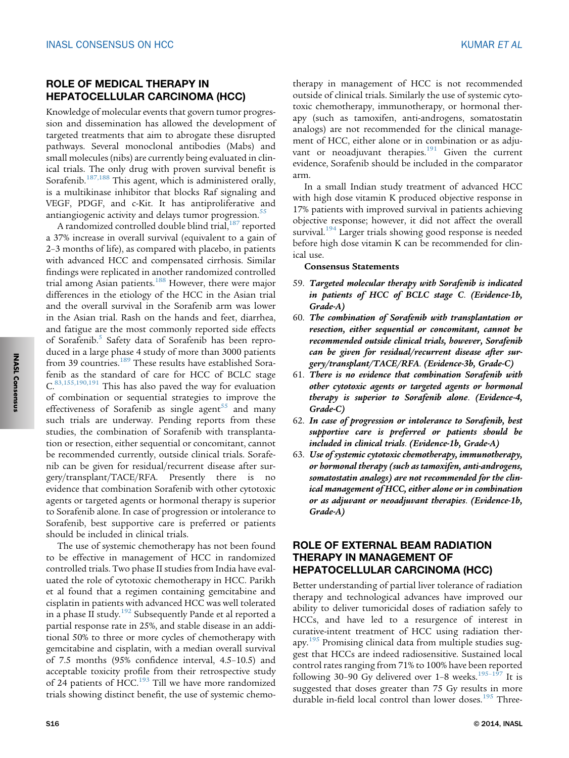## ROLE OF MEDICAL THERAPY IN HEPATOCELLULAR CARCINOMA (HCC)

Knowledge of molecular events that govern tumor progression and dissemination has allowed the development of targeted treatments that aim to abrogate these disrupted pathways. Several monoclonal antibodies (Mabs) and small molecules (nibs) are currently being evaluated in clinical trials. The only drug with proven survival benefit is Sorafenib.<sup>[187,188](#page-22-0)</sup> This agent, which is administered orally, is a multikinase inhibitor that blocks Raf signaling and VEGF, PDGF, and c-Kit. It has antiproliferative and antiangiogenic activity and delays tumor progression.<sup>[55](#page-18-0)</sup>

A randomized controlled double blind trial,<sup>[187](#page-22-0)</sup> reported a 37% increase in overall survival (equivalent to a gain of 2–3 months of life), as compared with placebo, in patients with advanced HCC and compensated cirrhosis. Similar findings were replicated in another randomized controlled trial among Asian patients.[188](#page-22-0) However, there were major differences in the etiology of the HCC in the Asian trial and the overall survival in the Sorafenib arm was lower in the Asian trial. Rash on the hands and feet, diarrhea, and fatigue are the most commonly reported side effects of Sorafenib.<sup>[5](#page-16-0)</sup> Safety data of Sorafenib has been reproduced in a large phase 4 study of more than 3000 patients from 39 countries.<sup>189</sup> These results have established Sorafenib as the standard of care for HCC of BCLC stage C.[83,155,190,191](#page-19-0) This has also paved the way for evaluation of combination or sequential strategies to improve the effectiveness of Sorafenib as single agent<sup>[55](#page-18-0)</sup> and many such trials are underway. Pending reports from these studies, the combination of Sorafenib with transplantation or resection, either sequential or concomitant, cannot be recommended currently, outside clinical trials. Sorafenib can be given for residual/recurrent disease after surgery/transplant/TACE/RFA. Presently there is no evidence that combination Sorafenib with other cytotoxic agents or targeted agents or hormonal therapy is superior to Sorafenib alone. In case of progression or intolerance to Sorafenib, best supportive care is preferred or patients should be included in clinical trials.

The use of systemic chemotherapy has not been found to be effective in management of HCC in randomized controlled trials. Two phase II studies from India have evaluated the role of cytotoxic chemotherapy in HCC. Parikh et al found that a regimen containing gemcitabine and cisplatin in patients with advanced HCC was well tolerated in a phase II study.<sup>192</sup> Subsequently Pande et al reported a partial response rate in 25%, and stable disease in an additional 50% to three or more cycles of chemotherapy with gemcitabine and cisplatin, with a median overall survival of 7.5 months (95% confidence interval, 4.5–10.5) and acceptable toxicity profile from their retrospective study of 24 patients of HCC.<sup>193</sup> Till we have more randomized trials showing distinct benefit, the use of systemic chemo-

therapy in management of HCC is not recommended outside of clinical trials. Similarly the use of systemic cytotoxic chemotherapy, immunotherapy, or hormonal therapy (such as tamoxifen, anti-androgens, somatostatin analogs) are not recommended for the clinical management of HCC, either alone or in combination or as adjuvant or neoadjuvant therapies. $191$  Given the current evidence, Sorafenib should be included in the comparator arm.

In a small Indian study treatment of advanced HCC with high dose vitamin K produced objective response in 17% patients with improved survival in patients achieving objective response; however, it did not affect the overall survival.<sup>[194](#page-22-0)</sup> Larger trials showing good response is needed before high dose vitamin K can be recommended for clinical use.

#### Consensus Statements

- 59. Targeted molecular therapy with Sorafenib is indicated in patients of HCC of BCLC stage C. (Evidence-1b, Grade-A)
- 60. The combination of Sorafenib with transplantation or resection, either sequential or concomitant, cannot be recommended outside clinical trials, however, Sorafenib can be given for residual/recurrent disease after surgery/transplant/TACE/RFA. (Evidence-3b, Grade-C)
- 61. There is no evidence that combination Sorafenib with other cytotoxic agents or targeted agents or hormonal therapy is superior to Sorafenib alone. (Evidence-4, Grade-C)
- 62. In case of progression or intolerance to Sorafenib, best supportive care is preferred or patients should be included in clinical trials. (Evidence-1b, Grade-A)
- 63. Use of systemic cytotoxic chemotherapy, immunotherapy, or hormonal therapy (such as tamoxifen, anti-androgens, somatostatin analogs) are not recommended for the clinical management of HCC, either alone or in combination or as adjuvant or neoadjuvant therapies. (Evidence-1b, Grade-A)

## ROLE OF EXTERNAL BEAM RADIATION THERAPY IN MANAGEMENT OF HEPATOCELLULAR CARCINOMA (HCC)

Better understanding of partial liver tolerance of radiation therapy and technological advances have improved our ability to deliver tumoricidal doses of radiation safely to HCCs, and have led to a resurgence of interest in curative-intent treatment of HCC using radiation ther-apy.<sup>[195](#page-22-0)</sup> Promising clinical data from multiple studies suggest that HCCs are indeed radiosensitive. Sustained local control rates ranging from 71% to 100% have been reported following 30-90 Gy delivered over 1-8 weeks. $195-197$  $195-197$  It is suggested that doses greater than 75 Gy results in more durable in-field local control than lower doses.<sup>[195](#page-22-0)</sup> Three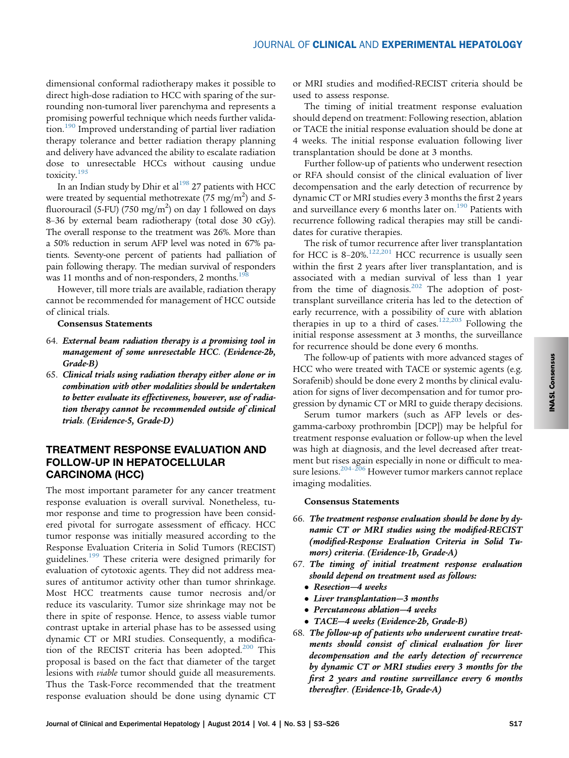dimensional conformal radiotherapy makes it possible to direct high-dose radiation to HCC with sparing of the surrounding non-tumoral liver parenchyma and represents a promising powerful technique which needs further validation.[190](#page-22-0) Improved understanding of partial liver radiation therapy tolerance and better radiation therapy planning and delivery have advanced the ability to escalate radiation dose to unresectable HCCs without causing undue toxicity.[195](#page-22-0)

In an Indian study by Dhir et al<sup>198</sup> 27 patients with HCC were treated by sequential methotrexate (75 mg/m<sup>2</sup>) and 5fluorouracil (5-FU) (750 mg/m<sup>2</sup>) on day 1 followed on days 8–36 by external beam radiotherapy (total dose 30 cGy). The overall response to the treatment was 26%. More than a 50% reduction in serum AFP level was noted in 67% patients. Seventy-one percent of patients had palliation of pain following therapy. The median survival of responders was 11 months and of non-responders, 2 months. $198$ 

However, till more trials are available, radiation therapy cannot be recommended for management of HCC outside of clinical trials.

#### Consensus Statements

- 64. External beam radiation therapy is a promising tool in management of some unresectable HCC. (Evidence-2b, Grade-B)
- 65. Clinical trials using radiation therapy either alone or in combination with other modalities should be undertaken to better evaluate its effectiveness, however, use of radiation therapy cannot be recommended outside of clinical trials. (Evidence-5, Grade-D)

## TREATMENT RESPONSE EVALUATION AND FOLLOW-UP IN HEPATOCELLULAR CARCINOMA (HCC)

The most important parameter for any cancer treatment response evaluation is overall survival. Nonetheless, tumor response and time to progression have been considered pivotal for surrogate assessment of efficacy. HCC tumor response was initially measured according to the Response Evaluation Criteria in Solid Tumors (RECIST) guidelines.<sup>[199](#page-22-0)</sup> These criteria were designed primarily for evaluation of cytotoxic agents. They did not address measures of antitumor activity other than tumor shrinkage. Most HCC treatments cause tumor necrosis and/or reduce its vascularity. Tumor size shrinkage may not be there in spite of response. Hence, to assess viable tumor contrast uptake in arterial phase has to be assessed using dynamic CT or MRI studies. Consequently, a modifica-tion of the RECIST criteria has been adopted.<sup>[200](#page-22-0)</sup> This proposal is based on the fact that diameter of the target lesions with viable tumor should guide all measurements. Thus the Task-Force recommended that the treatment response evaluation should be done using dynamic CT

or MRI studies and modified-RECIST criteria should be used to assess response.

The timing of initial treatment response evaluation should depend on treatment: Following resection, ablation or TACE the initial response evaluation should be done at 4 weeks. The initial response evaluation following liver transplantation should be done at 3 months.

Further follow-up of patients who underwent resection or RFA should consist of the clinical evaluation of liver decompensation and the early detection of recurrence by dynamic CT or MRI studies every 3 months the first 2 years and surveillance every 6 months later on.<sup>[190](#page-22-0)</sup> Patients with recurrence following radical therapies may still be candidates for curative therapies.

The risk of tumor recurrence after liver transplantation for HCC is  $8-20\%$ .<sup>[122,201](#page-20-0)</sup> HCC recurrence is usually seen within the first 2 years after liver transplantation, and is associated with a median survival of less than 1 year from the time of diagnosis.<sup>[202](#page-22-0)</sup> The adoption of posttransplant surveillance criteria has led to the detection of early recurrence, with a possibility of cure with ablation therapies in up to a third of cases.<sup>[122,203](#page-20-0)</sup> Following the initial response assessment at 3 months, the surveillance for recurrence should be done every 6 months.

The follow-up of patients with more advanced stages of HCC who were treated with TACE or systemic agents (e.g. Sorafenib) should be done every 2 months by clinical evaluation for signs of liver decompensation and for tumor progression by dynamic CT or MRI to guide therapy decisions.

Serum tumor markers (such as AFP levels or desgamma-carboxy prothrombin [DCP]) may be helpful for treatment response evaluation or follow-up when the level was high at diagnosis, and the level decreased after treatment but rises again especially in none or difficult to measure lesions.<sup>204–206</sup> However tumor markers cannot replace imaging modalities.

#### Consensus Statements

- 66. The treatment response evaluation should be done by dynamic CT or MRI studies using the modified-RECIST (modified-Response Evaluation Criteria in Solid Tumors) criteria. (Evidence-1b, Grade-A)
- 67. The timing of initial treatment response evaluation should depend on treatment used as follows:
	- Resection–4 weeks
	- Liver transplantation—3 months
	- Percutaneous ablation—4 weeks
	- TACE—4 weeks (Evidence-2b, Grade-B)
- 68. The follow-up of patients who underwent curative treatments should consist of clinical evaluation for liver decompensation and the early detection of recurrence by dynamic CT or MRI studies every 3 months for the first 2 years and routine surveillance every 6 months thereafter. (Evidence-1b, Grade-A)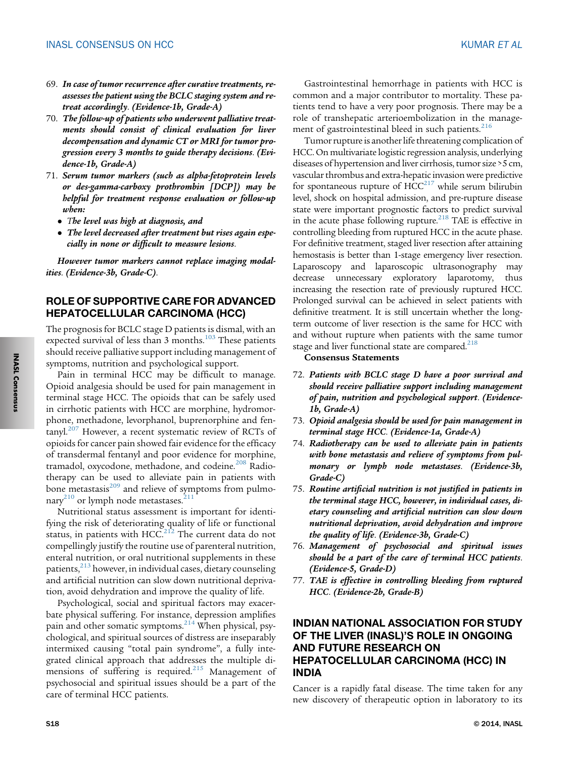- 69. In case of tumor recurrence after curative treatments, reassesses the patient using the BCLC staging system and retreat accordingly. (Evidence-1b, Grade-A)
- 70. The follow-up of patients who underwent palliative treatments should consist of clinical evaluation for liver decompensation and dynamic CT or MRI for tumor progression every 3 months to guide therapy decisions. (Evidence-1b, Grade-A)
- 71. Serum tumor markers (such as alpha-fetoprotein levels or des-gamma-carboxy prothrombin [DCP]) may be helpful for treatment response evaluation or follow-up when:
	- The level was high at diagnosis, and
	- The level decreased after treatment but rises again especially in none or difficult to measure lesions.

However tumor markers cannot replace imaging modalities. (Evidence-3b, Grade-C).

## ROLE OF SUPPORTIVE CARE FOR ADVANCED HEPATOCELLULAR CARCINOMA (HCC)

The prognosis for BCLC stage D patients is dismal, with an expected survival of less than 3 months.<sup>[103](#page-19-0)</sup> These patients should receive palliative support including management of symptoms, nutrition and psychological support.

Pain in terminal HCC may be difficult to manage. Opioid analgesia should be used for pain management in terminal stage HCC. The opioids that can be safely used in cirrhotic patients with HCC are morphine, hydromorphone, methadone, levorphanol, buprenorphine and fentanyl. $207$  However, a recent systematic review of RCTs of opioids for cancer pain showed fair evidence for the efficacy of transdermal fentanyl and poor evidence for morphine, tramadol, oxycodone, methadone, and codeine.<sup>[208](#page-23-0)</sup> Radiotherapy can be used to alleviate pain in patients with bone metastasis<sup>[209](#page-23-0)</sup> and relieve of symptoms from pulmo-nary<sup>[210](#page-23-0)</sup> or lymph node metastases.<sup>[211](#page-23-0)</sup>

Nutritional status assessment is important for identifying the risk of deteriorating quality of life or functional status, in patients with HCC. $^{212}$  The current data do not compellingly justify the routine use of parenteral nutrition, enteral nutrition, or oral nutritional supplements in these patients,<sup>[213](#page-23-0)</sup> however, in individual cases, dietary counseling and artificial nutrition can slow down nutritional deprivation, avoid dehydration and improve the quality of life.

Psychological, social and spiritual factors may exacerbate physical suffering. For instance, depression amplifies pain and other somatic symptoms.<sup>[214](#page-23-0)</sup> When physical, psychological, and spiritual sources of distress are inseparably intermixed causing "total pain syndrome", a fully integrated clinical approach that addresses the multiple di-mensions of suffering is required.<sup>[215](#page-23-0)</sup> Management of psychosocial and spiritual issues should be a part of the care of terminal HCC patients.

Gastrointestinal hemorrhage in patients with HCC is common and a major contributor to mortality. These patients tend to have a very poor prognosis. There may be a role of transhepatic arterioembolization in the manage-ment of gastrointestinal bleed in such patients.<sup>[216](#page-23-0)</sup>

Tumor rupture is another life threatening complication of HCC. On multivariate logistic regression analysis, underlying diseases of hypertension and liver cirrhosis, tumor size >5 cm, vascular thrombus and extra-hepatic invasion were predictive for spontaneous rupture of  $\text{HCC}^{217}$  $\text{HCC}^{217}$  $\text{HCC}^{217}$  while serum bilirubin level, shock on hospital admission, and pre-rupture disease state were important prognostic factors to predict survival in the acute phase following rupture.<sup>[218](#page-23-0)</sup> TAE is effective in controlling bleeding from ruptured HCC in the acute phase. For definitive treatment, staged liver resection after attaining hemostasis is better than 1-stage emergency liver resection. Laparoscopy and laparoscopic ultrasonography may decrease unnecessary exploratory laparotomy, thus increasing the resection rate of previously ruptured HCC. Prolonged survival can be achieved in select patients with definitive treatment. It is still uncertain whether the longterm outcome of liver resection is the same for HCC with and without rupture when patients with the same tumor stage and liver functional state are compared.<sup>218</sup>

Consensus Statements

- 72. Patients with BCLC stage D have a poor survival and should receive palliative support including management of pain, nutrition and psychological support. (Evidence-1b, Grade-A)
- 73. Opioid analgesia should be used for pain management in terminal stage HCC. (Evidence-1a, Grade-A)
- 74. Radiotherapy can be used to alleviate pain in patients with bone metastasis and relieve of symptoms from pulmonary or lymph node metastases. (Evidence-3b, Grade-C)
- 75. Routine artificial nutrition is not justified in patients in the terminal stage HCC, however, in individual cases, dietary counseling and artificial nutrition can slow down nutritional deprivation, avoid dehydration and improve the quality of life. (Evidence-3b, Grade-C)
- 76. Management of psychosocial and spiritual issues should be a part of the care of terminal HCC patients. (Evidence-5, Grade-D)
- 77. TAE is effective in controlling bleeding from ruptured HCC. (Evidence-2b, Grade-B)

# INDIAN NATIONAL ASSOCIATION FOR STUDY OF THE LIVER (INASL)'S ROLE IN ONGOING AND FUTURE RESEARCH ON HEPATOCELLULAR CARCINOMA (HCC) IN INDIA

Cancer is a rapidly fatal disease. The time taken for any new discovery of therapeutic option in laboratory to its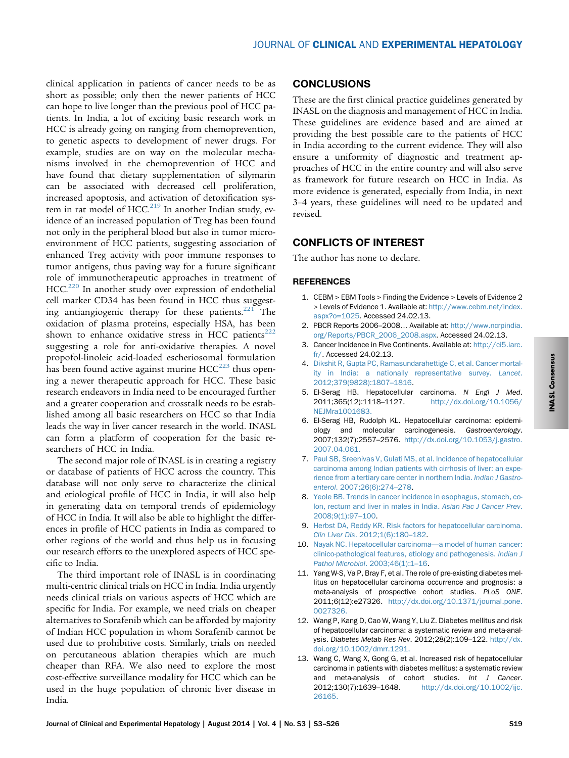<span id="page-16-0"></span>clinical application in patients of cancer needs to be as short as possible; only then the newer patients of HCC can hope to live longer than the previous pool of HCC patients. In India, a lot of exciting basic research work in HCC is already going on ranging from chemoprevention, to genetic aspects to development of newer drugs. For example, studies are on way on the molecular mechanisms involved in the chemoprevention of HCC and have found that dietary supplementation of silymarin can be associated with decreased cell proliferation, increased apoptosis, and activation of detoxification system in rat model of HCC. $^{219}$  $^{219}$  $^{219}$  In another Indian study, evidence of an increased population of Treg has been found not only in the peripheral blood but also in tumor microenvironment of HCC patients, suggesting association of enhanced Treg activity with poor immune responses to tumor antigens, thus paving way for a future significant role of immunotherapeutic approaches in treatment of HCC.<sup>[220](#page-23-0)</sup> In another study over expression of endothelial cell marker CD34 has been found in HCC thus suggesting antiangiogenic therapy for these patients. $221$  The oxidation of plasma proteins, especially HSA, has been shown to enhance oxidative stress in HCC patients<sup>[222](#page-23-0)</sup> suggesting a role for anti-oxidative therapies. A novel propofol-linoleic acid-loaded escheriosomal formulation has been found active against murine  $HCC^{223}$  $HCC^{223}$  $HCC^{223}$  thus opening a newer therapeutic approach for HCC. These basic research endeavors in India need to be encouraged further and a greater cooperation and crosstalk needs to be established among all basic researchers on HCC so that India leads the way in liver cancer research in the world. INASL can form a platform of cooperation for the basic researchers of HCC in India.

The second major role of INASL is in creating a registry or database of patients of HCC across the country. This database will not only serve to characterize the clinical and etiological profile of HCC in India, it will also help in generating data on temporal trends of epidemiology of HCC in India. It will also be able to highlight the differences in profile of HCC patients in India as compared to other regions of the world and thus help us in focusing our research efforts to the unexplored aspects of HCC specific to India.

The third important role of INASL is in coordinating multi-centric clinical trials on HCC in India. India urgently needs clinical trials on various aspects of HCC which are specific for India. For example, we need trials on cheaper alternatives to Sorafenib which can be afforded by majority of Indian HCC population in whom Sorafenib cannot be used due to prohibitive costs. Similarly, trials on needed on percutaneous ablation therapies which are much cheaper than RFA. We also need to explore the most cost-effective surveillance modality for HCC which can be used in the huge population of chronic liver disease in India.

## **CONCLUSIONS**

These are the first clinical practice guidelines generated by INASL on the diagnosis and management of HCC in India. These guidelines are evidence based and are aimed at providing the best possible care to the patients of HCC in India according to the current evidence. They will also ensure a uniformity of diagnostic and treatment approaches of HCC in the entire country and will also serve as framework for future research on HCC in India. As more evidence is generated, especially from India, in next 3–4 years, these guidelines will need to be updated and revised.

## CONFLICTS OF INTEREST

The author has none to declare.

#### **REFERENCES**

- 1. CEBM > EBM Tools > Finding the Evidence > Levels of Evidence 2 > Levels of Evidence 1. Available at: [http://www.cebm.net/index.](http://www.cebm.net/index.aspx?o=1025) [aspx?o=1025](http://www.cebm.net/index.aspx?o=1025). Accessed 24.02.13.
- 2. PBCR Reports 2006–2008. Available at: [http://www.ncrpindia.](http://www.ncrpindia.org/Reports/PBCR_2006_2008.aspx) [org/Reports/PBCR\\_2006\\_2008.aspx.](http://www.ncrpindia.org/Reports/PBCR_2006_2008.aspx) Accessed 24.02.13.
- 3. Cancer Incidence in Five Continents. Available at: [http://ci5.iarc.](http://ci5.iarc.fr/) [fr/](http://ci5.iarc.fr/). Accessed 24.02.13.
- 4. [Dikshit R, Gupta PC, Ramasundarahettige C, et al. Cancer mortal](http://refhub.elsevier.com/S0973-6883(14)00271-0/sref1)[ity in India: a nationally representative survey.](http://refhub.elsevier.com/S0973-6883(14)00271-0/sref1) Lancet. [2012;379\(9828\):1807](http://refhub.elsevier.com/S0973-6883(14)00271-0/sref1)–1816.
- 5. El-Serag HB. Hepatocellular carcinoma. N Engl J Med. 2011;365(12):1118–1127. [http://dx.doi.org/10.1056/](http://dx.doi.org/10.1056/NEJMra1001683) [NEJMra1001683.](http://dx.doi.org/10.1056/NEJMra1001683)
- 6. El-Serag HB, Rudolph KL. Hepatocellular carcinoma: epidemiology and molecular carcinogenesis. Gastroenterology. 2007;132(7):2557–2576. [http://dx.doi.org/10.1053/j.gastro.](http://dx.doi.org/10.1053/j.gastro.2007.04.061) [2007.04.061.](http://dx.doi.org/10.1053/j.gastro.2007.04.061)
- 7. [Paul SB, Sreenivas V, Gulati MS, et al. Incidence of hepatocellular](http://refhub.elsevier.com/S0973-6883(14)00271-0/sref4) [carcinoma among Indian patients with cirrhosis of liver: an expe](http://refhub.elsevier.com/S0973-6883(14)00271-0/sref4)[rience from a tertiary care center in northern India.](http://refhub.elsevier.com/S0973-6883(14)00271-0/sref4) Indian J Gastroenterol[. 2007;26\(6\):274](http://refhub.elsevier.com/S0973-6883(14)00271-0/sref4)–278.
- 8. [Yeole BB. Trends in cancer incidence in esophagus, stomach, co](http://refhub.elsevier.com/S0973-6883(14)00271-0/sref5)[lon, rectum and liver in males in India.](http://refhub.elsevier.com/S0973-6883(14)00271-0/sref5) Asian Pac J Cancer Prev. [2008;9\(1\):97](http://refhub.elsevier.com/S0973-6883(14)00271-0/sref5)–100.
- 9. [Herbst DA, Reddy KR. Risk factors for hepatocellular carcinoma.](http://refhub.elsevier.com/S0973-6883(14)00271-0/sref6) Clin Liver Dis[. 2012;1\(6\):180](http://refhub.elsevier.com/S0973-6883(14)00271-0/sref6)–182.
- 10. [Nayak NC. Hepatocellular carcinoma](http://refhub.elsevier.com/S0973-6883(14)00271-0/sref7)—a model of human cancer: [clinico-pathological features, etiology and pathogenesis.](http://refhub.elsevier.com/S0973-6883(14)00271-0/sref7) Indian J [Pathol Microbiol](http://refhub.elsevier.com/S0973-6883(14)00271-0/sref7). 2003;46(1):1–16.
- 11. Yang W-S, Va P, Bray F, et al. The role of pre-existing diabetes mellitus on hepatocellular carcinoma occurrence and prognosis: a meta-analysis of prospective cohort studies. PLoS ONE. 2011;6(12):e27326. [http://dx.doi.org/10.1371/journal.pone.](http://dx.doi.org/10.1371/journal.pone.0027326) [0027326.](http://dx.doi.org/10.1371/journal.pone.0027326)
- 12. Wang P, Kang D, Cao W, Wang Y, Liu Z. Diabetes mellitus and risk of hepatocellular carcinoma: a systematic review and meta-analysis. Diabetes Metab Res Rev. 2012;28(2):109–122. [http://dx.](http://dx.doi.org/10.1002/dmrr.1291) [doi.org/10.1002/dmrr.1291.](http://dx.doi.org/10.1002/dmrr.1291)
- 13. Wang C, Wang X, Gong G, et al. Increased risk of hepatocellular carcinoma in patients with diabetes mellitus: a systematic review and meta-analysis of cohort studies. Int J Cancer. 2012;130(7):1639–1648. [http://dx.doi.org/10.1002/ijc.](http://dx.doi.org/10.1002/ijc.26165) [26165.](http://dx.doi.org/10.1002/ijc.26165)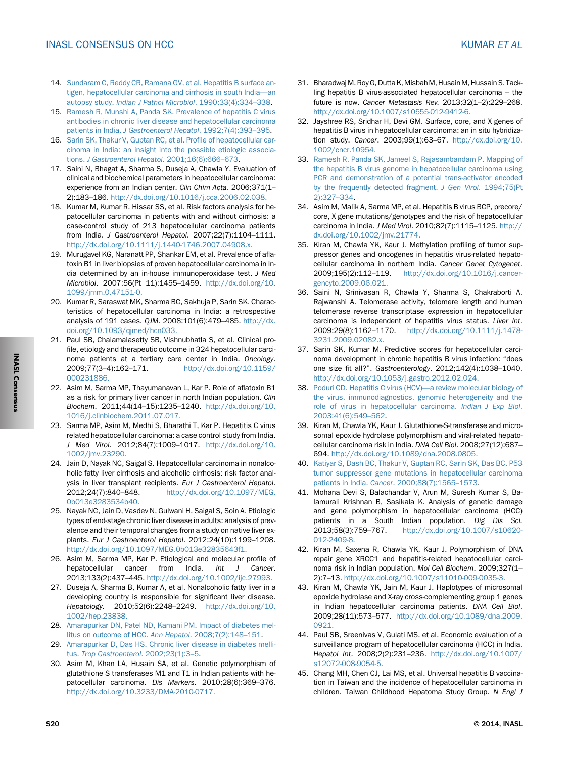- <span id="page-17-0"></span>14. [Sundaram C, Reddy CR, Ramana GV, et al. Hepatitis B surface an](http://refhub.elsevier.com/S0973-6883(14)00271-0/sref11)[tigen, hepatocellular carcinoma and cirrhosis in south India](http://refhub.elsevier.com/S0973-6883(14)00271-0/sref11)—an autopsy study. [Indian J Pathol Microbiol](http://refhub.elsevier.com/S0973-6883(14)00271-0/sref11). 1990;33(4):334–338.
- 15. [Ramesh R, Munshi A, Panda SK. Prevalence of hepatitis C virus](http://refhub.elsevier.com/S0973-6883(14)00271-0/sref12) [antibodies in chronic liver disease and hepatocellular carcinoma](http://refhub.elsevier.com/S0973-6883(14)00271-0/sref12) patients in India. [J Gastroenterol Hepatol](http://refhub.elsevier.com/S0973-6883(14)00271-0/sref12). 1992;7(4):393–395.
- 16. [Sarin SK, Thakur V, Guptan RC, et al. Pro](http://refhub.elsevier.com/S0973-6883(14)00271-0/sref13)file of hepatocellular car[cinoma in India: an insight into the possible etiologic associa](http://refhub.elsevier.com/S0973-6883(14)00271-0/sref13)tions. [J Gastroenterol Hepatol](http://refhub.elsevier.com/S0973-6883(14)00271-0/sref13). 2001;16(6):666–673.
- 17. Saini N, Bhagat A, Sharma S, Duseja A, Chawla Y. Evaluation of clinical and biochemical parameters in hepatocellular carcinoma: experience from an Indian center. Clin Chim Acta. 2006;371(1– 2):183–186. [http://dx.doi.org/10.1016/j.cca.2006.02.038.](http://dx.doi.org/10.1016/j.cca.2006.02.038)
- 18. Kumar M, Kumar R, Hissar SS, et al. Risk factors analysis for hepatocellular carcinoma in patients with and without cirrhosis: a case-control study of 213 hepatocellular carcinoma patients from India. J Gastroenterol Hepatol. 2007;22(7):1104–1111. [http://dx.doi.org/10.1111/j.1440-1746.2007.04908.x.](http://dx.doi.org/10.1111/j.1440-1746.2007.04908.x)
- 19. Murugavel KG, Naranatt PP, Shankar EM, et al. Prevalence of aflatoxin B1 in liver biopsies of proven hepatocellular carcinoma in India determined by an in-house immunoperoxidase test. J Med Microbiol. 2007;56(Pt 11):1455–1459. [http://dx.doi.org/10.](http://dx.doi.org/10.1099/jmm.0.47151-0) [1099/jmm.0.47151-0.](http://dx.doi.org/10.1099/jmm.0.47151-0)
- 20. Kumar R, Saraswat MK, Sharma BC, Sakhuja P, Sarin SK. Characteristics of hepatocellular carcinoma in India: a retrospective analysis of 191 cases. QJM. 2008;101(6):479–485. [http://dx.](http://dx.doi.org/10.1093/qjmed/hcn033) [doi.org/10.1093/qjmed/hcn033.](http://dx.doi.org/10.1093/qjmed/hcn033)
- 21. Paul SB, Chalamalasetty SB, Vishnubhatla S, et al. Clinical profile, etiology and therapeutic outcome in 324 hepatocellular carcinoma patients at a tertiary care center in India. Oncology. 2009;77(3–4):162–171. [http://dx.doi.org/10.1159/](http://dx.doi.org/10.1159/000231886) [000231886.](http://dx.doi.org/10.1159/000231886)
- 22. Asim M, Sarma MP, Thayumanavan L, Kar P. Role of aflatoxin B1 as a risk for primary liver cancer in north Indian population. Clin Biochem. 2011;44(14–15):1235–1240. [http://dx.doi.org/10.](http://dx.doi.org/10.1016/j.clinbiochem.2011.07.017) [1016/j.clinbiochem.2011.07.017.](http://dx.doi.org/10.1016/j.clinbiochem.2011.07.017)
- 23. Sarma MP, Asim M, Medhi S, Bharathi T, Kar P. Hepatitis C virus related hepatocellular carcinoma: a case control study from India. J Med Virol. 2012;84(7):1009–1017. [http://dx.doi.org/10.](http://dx.doi.org/10.1002/jmv.23290) [1002/jmv.23290.](http://dx.doi.org/10.1002/jmv.23290)
- 24. Jain D, Nayak NC, Saigal S. Hepatocellular carcinoma in nonalcoholic fatty liver cirrhosis and alcoholic cirrhosis: risk factor analysis in liver transplant recipients. Eur J Gastroenterol Hepatol. 2012;24(7):840–848. [http://dx.doi.org/10.1097/MEG.](http://dx.doi.org/10.1097/MEG.0b013e3283534b40) [0b013e3283534b40.](http://dx.doi.org/10.1097/MEG.0b013e3283534b40)
- 25. Nayak NC, Jain D, Vasdev N, Gulwani H, Saigal S, Soin A. Etiologic types of end-stage chronic liver disease in adults: analysis of prevalence and their temporal changes from a study on native liver explants. Eur J Gastroenterol Hepatol. 2012;24(10):1199–1208. [http://dx.doi.org/10.1097/MEG.0b013e32835643f1.](http://dx.doi.org/10.1097/MEG.0b013e32835643f1)
- 26. Asim M, Sarma MP, Kar P. Etiological and molecular profile of hepatocellular cancer from India. Int J Cancer. 2013;133(2):437–445. [http://dx.doi.org/10.1002/ijc.27993.](http://dx.doi.org/10.1002/ijc.27993)
- 27. Duseja A, Sharma B, Kumar A, et al. Nonalcoholic fatty liver in a developing country is responsible for significant liver disease. Hepatology. 2010;52(6):2248–2249. [http://dx.doi.org/10.](http://dx.doi.org/10.1002/hep.23838) [1002/hep.23838.](http://dx.doi.org/10.1002/hep.23838)
- 28. [Amarapurkar DN, Patel ND, Kamani PM. Impact of diabetes mel](http://refhub.elsevier.com/S0973-6883(14)00271-0/sref25)[litus on outcome of HCC.](http://refhub.elsevier.com/S0973-6883(14)00271-0/sref25) Ann Hepatol. 2008;7(2):148–151.
- 29. [Amarapurkar D, Das HS. Chronic liver disease in diabetes melli](http://refhub.elsevier.com/S0973-6883(14)00271-0/sref26)tus. [Trop Gastroenterol](http://refhub.elsevier.com/S0973-6883(14)00271-0/sref26). 2002;23(1):3–5.
- 30. Asim M, Khan LA, Husain SA, et al. Genetic polymorphism of glutathione S transferases M1 and T1 in Indian patients with hepatocellular carcinoma. Dis Markers. 2010;28(6):369–376. [http://dx.doi.org/10.3233/DMA-2010-0717.](http://dx.doi.org/10.3233/DMA-2010-0717)
- 31. Bharadwaj M, Roy G, Dutta K, Misbah M, Husain M, Hussain S. Tackling hepatitis B virus-associated hepatocellular carcinoma – the future is now. Cancer Metastasis Rev. 2013;32(1–2):229–268. [http://dx.doi.org/10.1007/s10555-012-9412-6.](http://dx.doi.org/10.1007/s10555-012-9412-6)
- 32. Jayshree RS, Sridhar H, Devi GM. Surface, core, and X genes of hepatitis B virus in hepatocellular carcinoma: an in situ hybridization study. Cancer. 2003;99(1):63–67. [http://dx.doi.org/10.](http://dx.doi.org/10.1002/cncr.10954) [1002/cncr.10954.](http://dx.doi.org/10.1002/cncr.10954)
- 33. [Ramesh R, Panda SK, Jameel S, Rajasambandam P. Mapping of](http://refhub.elsevier.com/S0973-6883(14)00271-0/sref30) [the hepatitis B virus genome in hepatocellular carcinoma using](http://refhub.elsevier.com/S0973-6883(14)00271-0/sref30) [PCR and demonstration of a potential trans-activator encoded](http://refhub.elsevier.com/S0973-6883(14)00271-0/sref30) [by the frequently detected fragment.](http://refhub.elsevier.com/S0973-6883(14)00271-0/sref30) J Gen Virol. 1994;75(Pt [2\):327](http://refhub.elsevier.com/S0973-6883(14)00271-0/sref30)–334.
- 34. Asim M, Malik A, Sarma MP, et al. Hepatitis B virus BCP, precore/ core, X gene mutations/genotypes and the risk of hepatocellular carcinoma in India. J Med Virol. 2010;82(7):1115–1125. [http://](http://dx.doi.org/10.1002/jmv.21774) [dx.doi.org/10.1002/jmv.21774.](http://dx.doi.org/10.1002/jmv.21774)
- 35. Kiran M, Chawla YK, Kaur J. Methylation profiling of tumor suppressor genes and oncogenes in hepatitis virus-related hepatocellular carcinoma in northern India. Cancer Genet Cytogenet. 2009;195(2):112–119. [http://dx.doi.org/10.1016/j.cancer](http://dx.doi.org/10.1016/j.cancergencyto.2009.06.021)[gencyto.2009.06.021.](http://dx.doi.org/10.1016/j.cancergencyto.2009.06.021)
- 36. Saini N, Srinivasan R, Chawla Y, Sharma S, Chakraborti A, Rajwanshi A. Telomerase activity, telomere length and human telomerase reverse transcriptase expression in hepatocellular carcinoma is independent of hepatitis virus status. Liver Int. 2009;29(8):1162–1170. [http://dx.doi.org/10.1111/j.1478-](http://dx.doi.org/10.1111/j.1478-3231.2009.02082.x) [3231.2009.02082.x.](http://dx.doi.org/10.1111/j.1478-3231.2009.02082.x)
- 37. Sarin SK, Kumar M. Predictive scores for hepatocellular carcinoma development in chronic hepatitis B virus infection: "does one size fit all?". Gastroenterology. 2012;142(4):1038–1040. [http://dx.doi.org/10.1053/j.gastro.2012.02.024.](http://dx.doi.org/10.1053/j.gastro.2012.02.024)
- 38. [Poduri CD. Hepatitis C virus \(HCV\)](http://refhub.elsevier.com/S0973-6883(14)00271-0/sref35)—a review molecular biology of [the virus, immunodiagnostics, genomic heterogeneity and the](http://refhub.elsevier.com/S0973-6883(14)00271-0/sref35) [role of virus in hepatocellular carcinoma.](http://refhub.elsevier.com/S0973-6883(14)00271-0/sref35) Indian J Exp Biol. [2003;41\(6\):549](http://refhub.elsevier.com/S0973-6883(14)00271-0/sref35)–562.
- 39. Kiran M, Chawla YK, Kaur J. Glutathione-S-transferase and microsomal epoxide hydrolase polymorphism and viral-related hepatocellular carcinoma risk in India. DNA Cell Biol. 2008;27(12):687– 694. [http://dx.doi.org/10.1089/dna.2008.0805.](http://dx.doi.org/10.1089/dna.2008.0805)
- 40. [Katiyar S, Dash BC, Thakur V, Guptan RC, Sarin SK, Das BC. P53](http://refhub.elsevier.com/S0973-6883(14)00271-0/sref37) [tumor suppressor gene mutations in hepatocellular carcinoma](http://refhub.elsevier.com/S0973-6883(14)00271-0/sref37) patients in India. Cancer[. 2000;88\(7\):1565](http://refhub.elsevier.com/S0973-6883(14)00271-0/sref37)–1573.
- 41. Mohana Devi S, Balachandar V, Arun M, Suresh Kumar S, Balamurali Krishnan B, Sasikala K. Analysis of genetic damage and gene polymorphism in hepatocellular carcinoma (HCC) patients in a South Indian population. Dig Dis Sci. 2013;58(3):759–767. [http://dx.doi.org/10.1007/s10620-](http://dx.doi.org/10.1007/s10620-012-2409-8) [012-2409-8.](http://dx.doi.org/10.1007/s10620-012-2409-8)
- 42. Kiran M, Saxena R, Chawla YK, Kaur J. Polymorphism of DNA repair gene XRCC1 and hepatitis-related hepatocellular carcinoma risk in Indian population. Mol Cell Biochem. 2009;327(1– 2):7–13. [http://dx.doi.org/10.1007/s11010-009-0035-3.](http://dx.doi.org/10.1007/s11010-009-0035-3)
- 43. Kiran M, Chawla YK, Jain M, Kaur J. Haplotypes of microsomal epoxide hydrolase and X-ray cross-complementing group 1 genes in Indian hepatocellular carcinoma patients. DNA Cell Biol. 2009;28(11):573–577. [http://dx.doi.org/10.1089/dna.2009.](http://dx.doi.org/10.1089/dna.2009.0921) [0921.](http://dx.doi.org/10.1089/dna.2009.0921)
- 44. Paul SB, Sreenivas V, Gulati MS, et al. Economic evaluation of a surveillance program of hepatocellular carcinoma (HCC) in India. Hepatol Int. 2008;2(2):231–236. [http://dx.doi.org/10.1007/](http://dx.doi.org/10.1007/s12072-008-9054-5) [s12072-008-9054-5.](http://dx.doi.org/10.1007/s12072-008-9054-5)
- 45. Chang MH, Chen CJ, Lai MS, et al. Universal hepatitis B vaccination in Taiwan and the incidence of hepatocellular carcinoma in children. Taiwan Childhood Hepatoma Study Group. N Engl J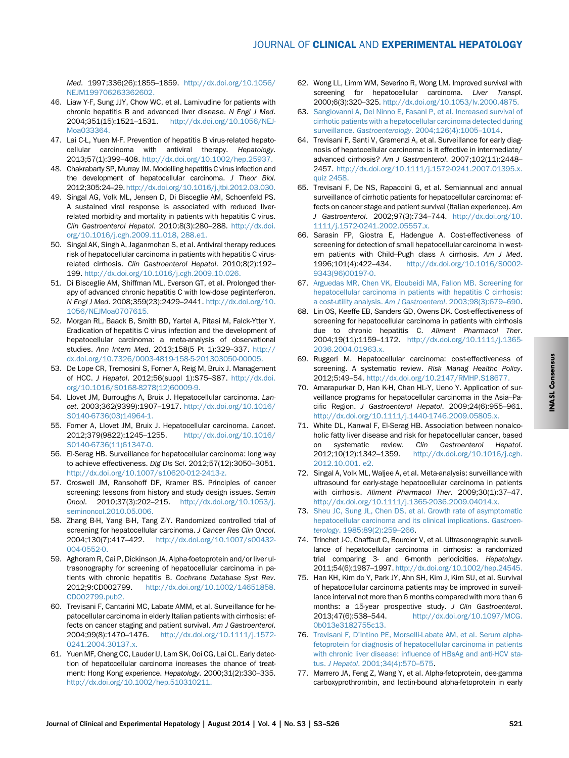<span id="page-18-0"></span>Med. 1997;336(26):1855–1859. [http://dx.doi.org/10.1056/](http://dx.doi.org/10.1056/NEJM199706263362602)

- [NEJM199706263362602.](http://dx.doi.org/10.1056/NEJM199706263362602) 46. Liaw Y-F, Sung JJY, Chow WC, et al. Lamivudine for patients with chronic hepatitis B and advanced liver disease. N Engl J Med. 2004;351(15):1521–1531. [http://dx.doi.org/10.1056/NEJ-](http://dx.doi.org/10.1056/NEJMoa033364)[Moa033364.](http://dx.doi.org/10.1056/NEJMoa033364)
- 47. Lai C-L, Yuen M-F. Prevention of hepatitis B virus-related hepatocellular carcinoma with antiviral therapy. Hepatology. 2013;57(1):399–408. [http://dx.doi.org/10.1002/hep.25937.](http://dx.doi.org/10.1002/hep.25937)
- 48. Chakrabarty SP, Murray JM. Modelling hepatitis C virus infection and the development of hepatocellular carcinoma. J Theor Biol. 2012;305:24–29. [http://dx.doi.org/10.1016/j.jtbi.2012.03.030.](http://dx.doi.org/10.1016/j.jtbi.2012.03.030)
- 49. Singal AG, Volk ML, Jensen D, Di Bisceglie AM, Schoenfeld PS. A sustained viral response is associated with reduced liverrelated morbidity and mortality in patients with hepatitis C virus. Clin Gastroenterol Hepatol. 2010;8(3):280–288. [http://dx.doi.](http://dx.doi.org/10.1016/j.cgh.2009.11.018) [org/10.1016/j.cgh.2009.11.018, 288.e1.](http://dx.doi.org/10.1016/j.cgh.2009.11.018)
- 50. Singal AK, Singh A, Jaganmohan S, et al. Antiviral therapy reduces risk of hepatocellular carcinoma in patients with hepatitis C virusrelated cirrhosis. Clin Gastroenterol Hepatol. 2010;8(2):192– 199. [http://dx.doi.org/10.1016/j.cgh.2009.10.026.](http://dx.doi.org/10.1016/j.cgh.2009.10.026)
- 51. Di Bisceglie AM, Shiffman ML, Everson GT, et al. Prolonged therapy of advanced chronic hepatitis C with low-dose peginterferon. N Engl J Med. 2008;359(23):2429–2441. [http://dx.doi.org/10.](http://dx.doi.org/10.1056/NEJMoa0707615) [1056/NEJMoa0707615.](http://dx.doi.org/10.1056/NEJMoa0707615)
- 52. Morgan RL, Baack B, Smith BD, Yartel A, Pitasi M, Falck-Ytter Y. Eradication of hepatitis C virus infection and the development of hepatocellular carcinoma: a meta-analysis of observational studies. Ann Intern Med. 2013;158(5 Pt 1):329–337. [http://](http://dx.doi.org/10.7326/0003-4819-158-5-201303050-00005) [dx.doi.org/10.7326/0003-4819-158-5-201303050-00005.](http://dx.doi.org/10.7326/0003-4819-158-5-201303050-00005)
- 53. De Lope CR, Tremosini S, Forner A, Reig M, Bruix J. Management of HCC. J Hepatol. 2012;56(suppl 1):S75–S87. [http://dx.doi.](http://dx.doi.org/10.1016/S0168-8278(12)60009-9) [org/10.1016/S0168-8278\(12\)60009-9.](http://dx.doi.org/10.1016/S0168-8278(12)60009-9)
- 54. Llovet JM, Burroughs A, Bruix J. Hepatocellular carcinoma. Lancet. 2003;362(9399):1907–1917. [http://dx.doi.org/10.1016/](http://dx.doi.org/10.1016/S0140-6736(03)14964-1) [S0140-6736\(03\)14964-1.](http://dx.doi.org/10.1016/S0140-6736(03)14964-1)
- 55. Forner A, Llovet JM, Bruix J. Hepatocellular carcinoma. Lancet. 2012;379(9822):1245–1255. [http://dx.doi.org/10.1016/](http://dx.doi.org/10.1016/S0140-6736(11)61347-0) [S0140-6736\(11\)61347-0.](http://dx.doi.org/10.1016/S0140-6736(11)61347-0)
- 56. El-Serag HB. Surveillance for hepatocellular carcinoma: long way to achieve effectiveness. Dig Dis Sci. 2012;57(12):3050–3051. [http://dx.doi.org/10.1007/s10620-012-2413-z.](http://dx.doi.org/10.1007/s10620-012-2413-z)
- 57. Croswell JM, Ransohoff DF, Kramer BS. Principles of cancer screening: lessons from history and study design issues. Semin Oncol. 2010;37(3):202–215. [http://dx.doi.org/10.1053/j.](http://dx.doi.org/10.1053/j.seminoncol.2010.05.006) [seminoncol.2010.05.006.](http://dx.doi.org/10.1053/j.seminoncol.2010.05.006)
- 58. Zhang B-H, Yang B-H, Tang Z-Y. Randomized controlled trial of screening for hepatocellular carcinoma. J Cancer Res Clin Oncol. 2004;130(7):417–422. [http://dx.doi.org/10.1007/s00432-](http://dx.doi.org/10.1007/s00432-004-0552-0) [004-0552-0.](http://dx.doi.org/10.1007/s00432-004-0552-0)
- 59. Aghoram R, Cai P, Dickinson JA. Alpha-foetoprotein and/or liver ultrasonography for screening of hepatocellular carcinoma in patients with chronic hepatitis B. Cochrane Database Syst Rev. 2012;9:CD002799. [http://dx.doi.org/10.1002/14651858.](http://dx.doi.org/10.1002/14651858.CD002799.pub2) [CD002799.pub2.](http://dx.doi.org/10.1002/14651858.CD002799.pub2)
- 60. Trevisani F, Cantarini MC, Labate AMM, et al. Surveillance for hepatocellular carcinoma in elderly Italian patients with cirrhosis: effects on cancer staging and patient survival. Am J Gastroenterol. 2004;99(8):1470–1476. [http://dx.doi.org/10.1111/j.1572-](http://dx.doi.org/10.1111/j.1572-0241.2004.30137.x) [0241.2004.30137.x.](http://dx.doi.org/10.1111/j.1572-0241.2004.30137.x)
- 61. Yuen MF, Cheng CC, Lauder IJ, Lam SK, Ooi CG, Lai CL. Early detection of hepatocellular carcinoma increases the chance of treatment: Hong Kong experience. Hepatology. 2000;31(2):330–335. [http://dx.doi.org/10.1002/hep.510310211.](http://dx.doi.org/10.1002/hep.510310211)
- 62. Wong LL, Limm WM, Severino R, Wong LM. Improved survival with screening for hepatocellular carcinoma. Liver Transpl. 2000;6(3):320–325. [http://dx.doi.org/10.1053/lv.2000.4875.](http://dx.doi.org/10.1053/lv.2000.4875)
- 63. [Sangiovanni A, Del Ninno E, Fasani P, et al. Increased survival of](http://refhub.elsevier.com/S0973-6883(14)00271-0/sref60) [cirrhotic patients with a hepatocellular carcinoma detected during](http://refhub.elsevier.com/S0973-6883(14)00271-0/sref60) surveillance. Gastroenterology[. 2004;126\(4\):1005](http://refhub.elsevier.com/S0973-6883(14)00271-0/sref60)–1014.
- 64. Trevisani F, Santi V, Gramenzi A, et al. Surveillance for early diagnosis of hepatocellular carcinoma: is it effective in intermediate/ advanced cirrhosis? Am J Gastroenterol. 2007;102(11):2448– 2457. [http://dx.doi.org/10.1111/j.1572-0241.2007.01395.x.](http://dx.doi.org/10.1111/j.1572-0241.2007.01395.x) [quiz 2458.](http://dx.doi.org/10.1111/j.1572-0241.2007.01395.x)
- 65. Trevisani F, De NS, Rapaccini G, et al. Semiannual and annual surveillance of cirrhotic patients for hepatocellular carcinoma: effects on cancer stage and patient survival (Italian experience). Am J Gastroenterol. 2002;97(3):734–744. [http://dx.doi.org/10.](http://dx.doi.org/10.1111/j.1572-0241.2002.05557.x) [1111/j.1572-0241.2002.05557.x.](http://dx.doi.org/10.1111/j.1572-0241.2002.05557.x)
- 66. Sarasin FP, Giostra E, Hadengue A. Cost-effectiveness of screening for detection of small hepatocellular carcinoma in western patients with Child–Pugh class A cirrhosis. Am J Med. 1996;101(4):422–434. [http://dx.doi.org/10.1016/S0002-](http://dx.doi.org/10.1016/S0002-9343(96)00197-0) [9343\(96\)00197-0.](http://dx.doi.org/10.1016/S0002-9343(96)00197-0)
- 67. [Arguedas MR, Chen VK, Eloubeidi MA, Fallon MB. Screening for](http://refhub.elsevier.com/S0973-6883(14)00271-0/sref64) [hepatocellular carcinoma in patients with hepatitis C cirrhosis:](http://refhub.elsevier.com/S0973-6883(14)00271-0/sref64) [a cost-utility analysis.](http://refhub.elsevier.com/S0973-6883(14)00271-0/sref64) Am J Gastroenterol. 2003;98(3):679–690.
- 68. Lin OS, Keeffe EB, Sanders GD, Owens DK. Cost-effectiveness of screening for hepatocellular carcinoma in patients with cirrhosis due to chronic hepatitis C. Aliment Pharmacol Ther. 2004;19(11):1159–1172. [http://dx.doi.org/10.1111/j.1365-](http://dx.doi.org/10.1111/j.1365-2036.2004.01963.x) [2036.2004.01963.x.](http://dx.doi.org/10.1111/j.1365-2036.2004.01963.x)
- 69. Ruggeri M. Hepatocellular carcinoma: cost-effectiveness of screening. A systematic review. Risk Manag Healthc Policy. 2012;5:49–54. [http://dx.doi.org/10.2147/RMHP.S18677.](http://dx.doi.org/10.2147/RMHP.S18677)
- 70. Amarapurkar D, Han K-H, Chan HL-Y, Ueno Y. Application of surveillance programs for hepatocellular carcinoma in the Asia–Pacific Region. J Gastroenterol Hepatol. 2009;24(6):955–961. [http://dx.doi.org/10.1111/j.1440-1746.2009.05805.x.](http://dx.doi.org/10.1111/j.1440-1746.2009.05805.x)
- 71. White DL, Kanwal F, El-Serag HB. Association between nonalcoholic fatty liver disease and risk for hepatocellular cancer, based on systematic review. Clin Gastroenterol Hepatol. 2012;10(12):1342–1359. [http://dx.doi.org/10.1016/j.cgh.](http://dx.doi.org/10.1016/j.cgh.2012.10.001) [2012.10.001. e2.](http://dx.doi.org/10.1016/j.cgh.2012.10.001)
- 72. Singal A, Volk ML, Waljee A, et al. Meta-analysis: surveillance with ultrasound for early-stage hepatocellular carcinoma in patients with cirrhosis. Aliment Pharmacol Ther. 2009;30(1):37–47. [http://dx.doi.org/10.1111/j.1365-2036.2009.04014.x.](http://dx.doi.org/10.1111/j.1365-2036.2009.04014.x)
- 73. [Sheu JC, Sung JL, Chen DS, et al. Growth rate of asymptomatic](http://refhub.elsevier.com/S0973-6883(14)00271-0/sref70) [hepatocellular carcinoma and its clinical implications.](http://refhub.elsevier.com/S0973-6883(14)00271-0/sref70) Gastroenterology[. 1985;89\(2\):259](http://refhub.elsevier.com/S0973-6883(14)00271-0/sref70)–266.
- 74. Trinchet J-C, Chaffaut C, Bourcier V, et al. Ultrasonographic surveillance of hepatocellular carcinoma in cirrhosis: a randomized trial comparing 3- and 6-month periodicities. Hepatology. 2011;54(6):1987–1997. [http://dx.doi.org/10.1002/hep.24545.](http://dx.doi.org/10.1002/hep.24545)
- 75. Han KH, Kim do Y, Park JY, Ahn SH, Kim J, Kim SU, et al. Survival of hepatocellular carcinoma patients may be improved in surveillance interval not more than 6 months compared with more than 6 months: a 15-year prospective study. J Clin Gastroenterol. 2013;47(6):538–544. [http://dx.doi.org/10.1097/MCG.](http://dx.doi.org/10.1097/MCG.0b013e3182755c13) [0b013e3182755c13.](http://dx.doi.org/10.1097/MCG.0b013e3182755c13)
- 76. Trevisani F, D'[Intino PE, Morselli-Labate AM, et al. Serum alpha](http://refhub.elsevier.com/S0973-6883(14)00271-0/sref73)[fetoprotein for diagnosis of hepatocellular carcinoma in patients](http://refhub.elsevier.com/S0973-6883(14)00271-0/sref73) with chronic liver disease: infl[uence of HBsAg and anti-HCV sta](http://refhub.elsevier.com/S0973-6883(14)00271-0/sref73)tus. J Hepatol[. 2001;34\(4\):570](http://refhub.elsevier.com/S0973-6883(14)00271-0/sref73)–575.
- 77. Marrero JA, Feng Z, Wang Y, et al. Alpha-fetoprotein, des-gamma carboxyprothrombin, and lectin-bound alpha-fetoprotein in early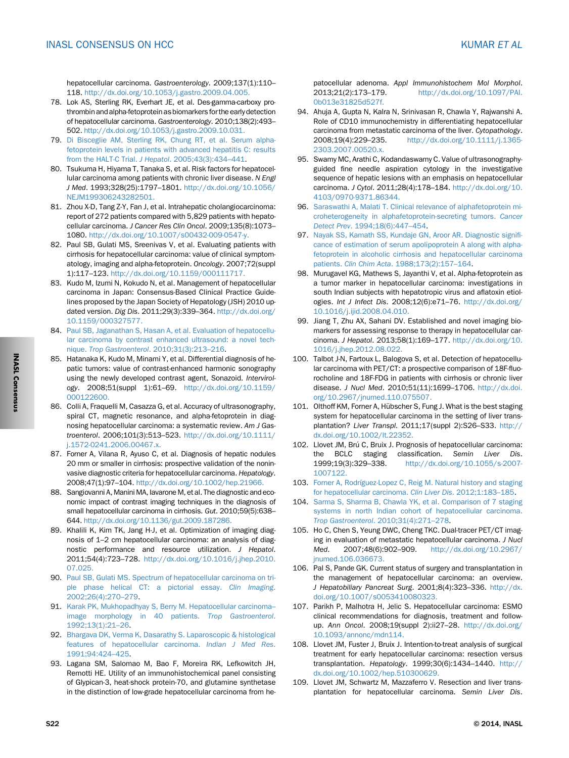<span id="page-19-0"></span>hepatocellular carcinoma. Gastroenterology. 2009;137(1):110– 118. [http://dx.doi.org/10.1053/j.gastro.2009.04.005.](http://dx.doi.org/10.1053/j.gastro.2009.04.005)

- 78. Lok AS, Sterling RK, Everhart JE, et al. Des-gamma-carboxy prothrombin and alpha-fetoprotein as biomarkersfor the early detection of hepatocellular carcinoma. Gastroenterology. 2010;138(2):493– 502. [http://dx.doi.org/10.1053/j.gastro.2009.10.031.](http://dx.doi.org/10.1053/j.gastro.2009.10.031)
- 79. [Di Bisceglie AM, Sterling RK, Chung RT, et al. Serum alpha](http://refhub.elsevier.com/S0973-6883(14)00271-0/sref76)[fetoprotein levels in patients with advanced hepatitis C: results](http://refhub.elsevier.com/S0973-6883(14)00271-0/sref76) [from the HALT-C Trial.](http://refhub.elsevier.com/S0973-6883(14)00271-0/sref76) J Hepatol. 2005;43(3):434–441.
- 80. Tsukuma H, Hiyama T, Tanaka S, et al. Risk factors for hepatocellular carcinoma among patients with chronic liver disease. N Engl J Med. 1993;328(25):1797–1801. [http://dx.doi.org/10.1056/](http://dx.doi.org/10.1056/NEJM199306243282501) [NEJM199306243282501.](http://dx.doi.org/10.1056/NEJM199306243282501)
- 81. Zhou X-D, Tang Z-Y, Fan J, et al. Intrahepatic cholangiocarcinoma: report of 272 patients compared with 5,829 patients with hepatocellular carcinoma. J Cancer Res Clin Oncol. 2009;135(8):1073– 1080. [http://dx.doi.org/10.1007/s00432-009-0547-y.](http://dx.doi.org/10.1007/s00432-009-0547-y)
- 82. Paul SB, Gulati MS, Sreenivas V, et al. Evaluating patients with cirrhosis for hepatocellular carcinoma: value of clinical symptomatology, imaging and alpha-fetoprotein. Oncology. 2007;72(suppl 1):117–123. [http://dx.doi.org/10.1159/000111717.](http://dx.doi.org/10.1159/000111717)
- 83. Kudo M, Izumi N, Kokudo N, et al. Management of hepatocellular carcinoma in Japan: Consensus-Based Clinical Practice Guidelines proposed by the Japan Society of Hepatology (JSH) 2010 updated version. Dig Dis. 2011;29(3):339–364. [http://dx.doi.org/](http://dx.doi.org/10.1159/000327577) [10.1159/000327577.](http://dx.doi.org/10.1159/000327577)
- 84. [Paul SB, Jaganathan S, Hasan A, et al. Evaluation of hepatocellu](http://refhub.elsevier.com/S0973-6883(14)00271-0/sref81)[lar carcinoma by contrast enhanced ultrasound: a novel tech](http://refhub.elsevier.com/S0973-6883(14)00271-0/sref81)nique. [Trop Gastroenterol](http://refhub.elsevier.com/S0973-6883(14)00271-0/sref81). 2010;31(3):213–216.
- 85. Hatanaka K, Kudo M, Minami Y, et al. Differential diagnosis of hepatic tumors: value of contrast-enhanced harmonic sonography using the newly developed contrast agent, Sonazoid. Intervirology. 2008;51(suppl 1):61–69. [http://dx.doi.org/10.1159/](http://dx.doi.org/10.1159/000122600) [000122600.](http://dx.doi.org/10.1159/000122600)
- 86. Colli A, Fraquelli M, Casazza G, et al. Accuracy of ultrasonography, spiral CT, magnetic resonance, and alpha-fetoprotein in diagnosing hepatocellular carcinoma: a systematic review. Am J Gastroenterol. 2006;101(3):513–523. [http://dx.doi.org/10.1111/](http://dx.doi.org/10.1111/j.1572-0241.2006.00467.x) [j.1572-0241.2006.00467.x.](http://dx.doi.org/10.1111/j.1572-0241.2006.00467.x)
- 87. Forner A, Vilana R, Ayuso C, et al. Diagnosis of hepatic nodules 20 mm or smaller in cirrhosis: prospective validation of the noninvasive diagnostic criteria for hepatocellular carcinoma. Hepatology. 2008;47(1):97–104. [http://dx.doi.org/10.1002/hep.21966.](http://dx.doi.org/10.1002/hep.21966)
- 88. Sangiovanni A, Manini MA, Iavarone M, et al. The diagnostic and economic impact of contrast imaging techniques in the diagnosis of small hepatocellular carcinoma in cirrhosis. Gut. 2010;59(5):638– 644. [http://dx.doi.org/10.1136/gut.2009.187286.](http://dx.doi.org/10.1136/gut.2009.187286)
- 89. Khalili K, Kim TK, Jang H-J, et al. Optimization of imaging diagnosis of 1–2 cm hepatocellular carcinoma: an analysis of diagnostic performance and resource utilization. J Hepatol. 2011;54(4):723–728. [http://dx.doi.org/10.1016/j.jhep.2010.](http://dx.doi.org/10.1016/j.jhep.2010.07.025) [07.025.](http://dx.doi.org/10.1016/j.jhep.2010.07.025)
- 90. [Paul SB, Gulati MS. Spectrum of hepatocellular carcinoma on tri](http://refhub.elsevier.com/S0973-6883(14)00271-0/sref87)[ple phase helical CT: a pictorial essay.](http://refhub.elsevier.com/S0973-6883(14)00271-0/sref87) Clin Imaging. [2002;26\(4\):270](http://refhub.elsevier.com/S0973-6883(14)00271-0/sref87)–279.
- 91. [Karak PK, Mukhopadhyay S, Berry M. Hepatocellular carcinoma](http://refhub.elsevier.com/S0973-6883(14)00271-0/sref88)[image morphology in 40 patients.](http://refhub.elsevier.com/S0973-6883(14)00271-0/sref88) Trop Gastroenterol. [1992;13\(1\):21](http://refhub.elsevier.com/S0973-6883(14)00271-0/sref88)–26.
- 92. [Bhargava DK, Verma K, Dasarathy S. Laparoscopic & histological](http://refhub.elsevier.com/S0973-6883(14)00271-0/sref89) [features of hepatocellular carcinoma.](http://refhub.elsevier.com/S0973-6883(14)00271-0/sref89) Indian J Med Res. [1991;94:424](http://refhub.elsevier.com/S0973-6883(14)00271-0/sref89)–425.
- 93. Lagana SM, Salomao M, Bao F, Moreira RK, Lefkowitch JH, Remotti HE. Utility of an immunohistochemical panel consisting of Glypican-3, heat-shock protein-70, and glutamine synthetase in the distinction of low-grade hepatocellular carcinoma from he-

patocellular adenoma. Appl Immunohistochem Mol Morphol. 2013;21(2):173–179. [http://dx.doi.org/10.1097/PAI.](http://dx.doi.org/10.1097/PAI.0b013e31825d527f) [0b013e31825d527f.](http://dx.doi.org/10.1097/PAI.0b013e31825d527f)

- 94. Ahuja A, Gupta N, Kalra N, Srinivasan R, Chawla Y, Rajwanshi A. Role of CD10 immunochemistry in differentiating hepatocellular carcinoma from metastatic carcinoma of the liver. Cytopathology. 2008;19(4):229–235. [http://dx.doi.org/10.1111/j.1365-](http://dx.doi.org/10.1111/j.1365-2303.2007.00520.x) [2303.2007.00520.x.](http://dx.doi.org/10.1111/j.1365-2303.2007.00520.x)
- 95. Swamy MC, Arathi C, Kodandaswamy C. Value of ultrasonographyguided fine needle aspiration cytology in the investigative sequence of hepatic lesions with an emphasis on hepatocellular carcinoma. J Cytol. 2011;28(4):178–184. [http://dx.doi.org/10.](http://dx.doi.org/10.4103/0970-9371.86344) [4103/0970-9371.86344.](http://dx.doi.org/10.4103/0970-9371.86344)
- 96. [Saraswathi A, Malati T. Clinical relevance of alphafetoprotein mi](http://refhub.elsevier.com/S0973-6883(14)00271-0/sref93)[croheterogeneity in alphafetoprotein-secreting tumors.](http://refhub.elsevier.com/S0973-6883(14)00271-0/sref93) Cancer Detect Prev[. 1994;18\(6\):447](http://refhub.elsevier.com/S0973-6883(14)00271-0/sref93)–454.
- 97. [Nayak SS, Kamath SS, Kundaje GN, Aroor AR. Diagnostic signi](http://refhub.elsevier.com/S0973-6883(14)00271-0/sref94)fi[cance of estimation of serum apolipoprotein A along with alpha](http://refhub.elsevier.com/S0973-6883(14)00271-0/sref94)[fetoprotein in alcoholic cirrhosis and hepatocellular carcinoma](http://refhub.elsevier.com/S0973-6883(14)00271-0/sref94) patients. Clin Chim Acta[. 1988;173\(2\):157](http://refhub.elsevier.com/S0973-6883(14)00271-0/sref94)–164.
- 98. Murugavel KG, Mathews S, Jayanthi V, et al. Alpha-fetoprotein as a tumor marker in hepatocellular carcinoma: investigations in south Indian subjects with hepatotropic virus and aflatoxin etiologies. Int J Infect Dis. 2008;12(6):e71–76. [http://dx.doi.org/](http://dx.doi.org/10.1016/j.ijid.2008.04.010) [10.1016/j.ijid.2008.04.010.](http://dx.doi.org/10.1016/j.ijid.2008.04.010)
- 99. Jiang T, Zhu AX, Sahani DV. Established and novel imaging biomarkers for assessing response to therapy in hepatocellular carcinoma. J Hepatol. 2013;58(1):169–177. [http://dx.doi.org/10.](http://dx.doi.org/10.1016/j.jhep.2012.08.022) [1016/j.jhep.2012.08.022.](http://dx.doi.org/10.1016/j.jhep.2012.08.022)
- 100. Talbot J-N, Fartoux L, Balogova S, et al. Detection of hepatocellular carcinoma with PET/CT: a prospective comparison of 18F-fluorocholine and 18F-FDG in patients with cirrhosis or chronic liver disease. J Nucl Med. 2010;51(11):1699–1706. [http://dx.doi.](http://dx.doi.org/10.2967/jnumed.110.075507) [org/10.2967/jnumed.110.075507.](http://dx.doi.org/10.2967/jnumed.110.075507)
- 101. Olthoff KM, Forner A, Hübscher S, Fung J. What is the best staging system for hepatocellular carcinoma in the setting of liver transplantation? Liver Transpl. 2011;17(suppl 2):S26–S33. [http://](http://dx.doi.org/10.1002/lt.22352) [dx.doi.org/10.1002/lt.22352.](http://dx.doi.org/10.1002/lt.22352)
- 102. Llovet JM, Brú C, Bruix J. Prognosis of hepatocellular carcinoma: the BCLC staging classification. Semin Liver Dis. 1999;19(3):329–338. [http://dx.doi.org/10.1055/s-2007-](http://dx.doi.org/10.1055/s-2007-1007122) [1007122.](http://dx.doi.org/10.1055/s-2007-1007122)
- 103. [Forner A, Rodríguez-Lopez C, Reig M. Natural history and staging](http://refhub.elsevier.com/S0973-6883(14)00271-0/sref100) [for hepatocellular carcinoma.](http://refhub.elsevier.com/S0973-6883(14)00271-0/sref100) Clin Liver Dis. 2012;1:183–185.
- 104. [Sarma S, Sharma B, Chawla YK, et al. Comparison of 7 staging](http://refhub.elsevier.com/S0973-6883(14)00271-0/sref101) [systems in north Indian cohort of hepatocellular carcinoma.](http://refhub.elsevier.com/S0973-6883(14)00271-0/sref101) [Trop Gastroenterol](http://refhub.elsevier.com/S0973-6883(14)00271-0/sref101). 2010;31(4):271–278.
- 105. Ho C, Chen S, Yeung DWC, Cheng TKC. Dual-tracer PET/CT imaging in evaluation of metastatic hepatocellular carcinoma. J Nucl Med. 2007;48(6):902–909. [http://dx.doi.org/10.2967/](http://dx.doi.org/10.2967/jnumed.106.036673) [jnumed.106.036673.](http://dx.doi.org/10.2967/jnumed.106.036673)
- 106. Pal S, Pande GK. Current status of surgery and transplantation in the management of hepatocellular carcinoma: an overview. J Hepatobiliary Pancreat Surg. 2001;8(4):323–336. [http://dx.](http://dx.doi.org/10.1007/s0053410080323) [doi.org/10.1007/s0053410080323.](http://dx.doi.org/10.1007/s0053410080323)
- 107. Parikh P, Malhotra H, Jelic S. Hepatocellular carcinoma: ESMO clinical recommendations for diagnosis, treatment and followup. Ann Oncol. 2008;19(suppl 2):ii27–28. [http://dx.doi.org/](http://dx.doi.org/10.1093/annonc/mdn114) [10.1093/annonc/mdn114.](http://dx.doi.org/10.1093/annonc/mdn114)
- 108. Llovet JM, Fuster J, Bruix J. Intention-to-treat analysis of surgical treatment for early hepatocellular carcinoma: resection versus transplantation. Hepatology. 1999;30(6):1434–1440. [http://](http://dx.doi.org/10.1002/hep.510300629) [dx.doi.org/10.1002/hep.510300629.](http://dx.doi.org/10.1002/hep.510300629)
- 109. Llovet JM, Schwartz M, Mazzaferro V. Resection and liver transplantation for hepatocellular carcinoma. Semin Liver Dis.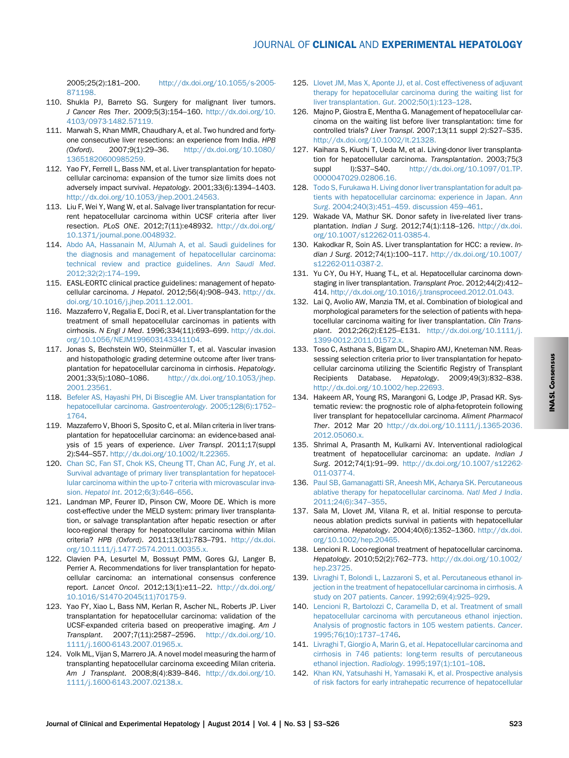<span id="page-20-0"></span>2005;25(2):181–200. [http://dx.doi.org/10.1055/s-2005-](http://dx.doi.org/10.1055/s-2005-871198) [871198.](http://dx.doi.org/10.1055/s-2005-871198)

- 110. Shukla PJ, Barreto SG. Surgery for malignant liver tumors. J Cancer Res Ther. 2009;5(3):154–160. [http://dx.doi.org/10.](http://dx.doi.org/10.4103/0973-1482.57119) [4103/0973-1482.57119.](http://dx.doi.org/10.4103/0973-1482.57119)
- 111. Marwah S, Khan MMR, Chaudhary A, et al. Two hundred and fortyone consecutive liver resections: an experience from India. HPB (Oxford). 2007;9(1):29–36. [http://dx.doi.org/10.1080/](http://dx.doi.org/10.1080/13651820600985259) [13651820600985259.](http://dx.doi.org/10.1080/13651820600985259)
- 112. Yao FY, Ferrell L, Bass NM, et al. Liver transplantation for hepatocellular carcinoma: expansion of the tumor size limits does not adversely impact survival. Hepatology. 2001;33(6):1394–1403. [http://dx.doi.org/10.1053/jhep.2001.24563.](http://dx.doi.org/10.1053/jhep.2001.24563)
- 113. Liu F, Wei Y, Wang W, et al. Salvage liver transplantation for recurrent hepatocellular carcinoma within UCSF criteria after liver resection. PLoS ONE. 2012;7(11):e48932. [http://dx.doi.org/](http://dx.doi.org/10.1371/journal.pone.0048932) [10.1371/journal.pone.0048932.](http://dx.doi.org/10.1371/journal.pone.0048932)
- 114. [Abdo AA, Hassanain M, AlJumah A, et al. Saudi guidelines for](http://refhub.elsevier.com/S0973-6883(14)00271-0/sref111) [the diagnosis and management of hepatocellular carcinoma:](http://refhub.elsevier.com/S0973-6883(14)00271-0/sref111) [technical review and practice guidelines.](http://refhub.elsevier.com/S0973-6883(14)00271-0/sref111) Ann Saudi Med. [2012;32\(2\):174](http://refhub.elsevier.com/S0973-6883(14)00271-0/sref111)–199.
- 115. EASL-EORTC clinical practice guidelines: management of hepatocellular carcinoma. J Hepatol. 2012;56(4):908–943. [http://dx.](http://dx.doi.org/10.1016/j.jhep.2011.12.001) [doi.org/10.1016/j.jhep.2011.12.001.](http://dx.doi.org/10.1016/j.jhep.2011.12.001)
- 116. Mazzaferro V, Regalia E, Doci R, et al. Liver transplantation for the treatment of small hepatocellular carcinomas in patients with cirrhosis. N Engl J Med. 1996;334(11):693–699. [http://dx.doi.](http://dx.doi.org/10.1056/NEJM199603143341104) [org/10.1056/NEJM199603143341104.](http://dx.doi.org/10.1056/NEJM199603143341104)
- 117. Jonas S, Bechstein WO, Steinmüller T, et al. Vascular invasion and histopathologic grading determine outcome after liver transplantation for hepatocellular carcinoma in cirrhosis. Hepatology. 2001;33(5):1080–1086. [http://dx.doi.org/10.1053/jhep.](http://dx.doi.org/10.1053/jhep.2001.23561) [2001.23561.](http://dx.doi.org/10.1053/jhep.2001.23561)
- 118. [Befeler AS, Hayashi PH, Di Bisceglie AM. Liver transplantation for](http://refhub.elsevier.com/S0973-6883(14)00271-0/sref115) [hepatocellular carcinoma.](http://refhub.elsevier.com/S0973-6883(14)00271-0/sref115) Gastroenterology. 2005;128(6):1752– [1764](http://refhub.elsevier.com/S0973-6883(14)00271-0/sref115).
- 119. Mazzaferro V, Bhoori S, Sposito C, et al. Milan criteria in liver transplantation for hepatocellular carcinoma: an evidence-based analysis of 15 years of experience. Liver Transpl. 2011;17(suppl 2):S44–S57. [http://dx.doi.org/10.1002/lt.22365.](http://dx.doi.org/10.1002/lt.22365)
- 120. [Chan SC, Fan ST, Chok KS, Cheung TT, Chan AC, Fung JY, et al.](http://refhub.elsevier.com/S0973-6883(14)00271-0/sref5t) [Survival advantage of primary liver transplantation for hepatocel](http://refhub.elsevier.com/S0973-6883(14)00271-0/sref5t)[lular carcinoma within the up-to-7 criteria with microvascular inva](http://refhub.elsevier.com/S0973-6883(14)00271-0/sref5t)sion. Hepatol Int[. 2012;6\(3\):646](http://refhub.elsevier.com/S0973-6883(14)00271-0/sref5t)–656.
- 121. Landman MP, Feurer ID, Pinson CW, Moore DE. Which is more cost-effective under the MELD system: primary liver transplantation, or salvage transplantation after hepatic resection or after loco-regional therapy for hepatocellular carcinoma within Milan criteria? HPB (Oxford). 2011;13(11):783–791. [http://dx.doi.](http://dx.doi.org/10.1111/j.1477-2574.2011.00355.x) [org/10.1111/j.1477-2574.2011.00355.x.](http://dx.doi.org/10.1111/j.1477-2574.2011.00355.x)
- 122. Clavien P-A, Lesurtel M, Bossuyt PMM, Gores GJ, Langer B, Perrier A. Recommendations for liver transplantation for hepatocellular carcinoma: an international consensus conference report. Lancet Oncol. 2012;13(1):e11–22. [http://dx.doi.org/](http://dx.doi.org/10.1016/S1470-2045(11)70175-9) [10.1016/S1470-2045\(11\)70175-9.](http://dx.doi.org/10.1016/S1470-2045(11)70175-9)
- 123. Yao FY, Xiao L, Bass NM, Kerlan R, Ascher NL, Roberts JP. Liver transplantation for hepatocellular carcinoma: validation of the UCSF-expanded criteria based on preoperative imaging. Am J Transplant. 2007;7(11):2587–2596. [http://dx.doi.org/10.](http://dx.doi.org/10.1111/j.1600-6143.2007.01965.x) [1111/j.1600-6143.2007.01965.x.](http://dx.doi.org/10.1111/j.1600-6143.2007.01965.x)
- 124. Volk ML, Vijan S, Marrero JA. A novel model measuring the harm of transplanting hepatocellular carcinoma exceeding Milan criteria. Am J Transplant. 2008;8(4):839–846. [http://dx.doi.org/10.](http://dx.doi.org/10.1111/j.1600-6143.2007.02138.x) [1111/j.1600-6143.2007.02138.x.](http://dx.doi.org/10.1111/j.1600-6143.2007.02138.x)
- 125. [Llovet JM, Mas X, Aponte JJ, et al. Cost effectiveness of adjuvant](http://refhub.elsevier.com/S0973-6883(14)00271-0/sref122) [therapy for hepatocellular carcinoma during the waiting list for](http://refhub.elsevier.com/S0973-6883(14)00271-0/sref122) [liver transplantation.](http://refhub.elsevier.com/S0973-6883(14)00271-0/sref122) Gut. 2002;50(1):123–128.
- 126. Majno P, Giostra E, Mentha G. Management of hepatocellular carcinoma on the waiting list before liver transplantation: time for controlled trials? Liver Transpl. 2007;13(11 suppl 2):S27–S35. [http://dx.doi.org/10.1002/lt.21328.](http://dx.doi.org/10.1002/lt.21328)
- 127. Kaihara S, Kiuchi T, Ueda M, et al. Living-donor liver transplantation for hepatocellular carcinoma. Transplantation. 2003;75(3 suppl l):S37–S40. [http://dx.doi.org/10.1097/01.TP.](http://dx.doi.org/10.1097/01.TP.0000047029.02806.16) [0000047029.02806.16.](http://dx.doi.org/10.1097/01.TP.0000047029.02806.16)
- 128. [Todo S, Furukawa H. Living donor liver transplantation for adult pa](http://refhub.elsevier.com/S0973-6883(14)00271-0/sref125)[tients with hepatocellular carcinoma: experience in Japan.](http://refhub.elsevier.com/S0973-6883(14)00271-0/sref125) Ann Surg. 2004;240(3):451–[459. discussion 459](http://refhub.elsevier.com/S0973-6883(14)00271-0/sref125)–461.
- 129. Wakade VA, Mathur SK. Donor safety in live-related liver transplantation. Indian J Surg. 2012;74(1):118–126. [http://dx.doi.](http://dx.doi.org/10.1007/s12262-011-0385-4) [org/10.1007/s12262-011-0385-4.](http://dx.doi.org/10.1007/s12262-011-0385-4)
- 130. Kakodkar R, Soin AS. Liver transplantation for HCC: a review. Indian J Surg. 2012;74(1):100–117. [http://dx.doi.org/10.1007/](http://dx.doi.org/10.1007/s12262-011-0387-2) [s12262-011-0387-2.](http://dx.doi.org/10.1007/s12262-011-0387-2)
- 131. Yu C-Y, Ou H-Y, Huang T-L, et al. Hepatocellular carcinoma downstaging in liver transplantation. Transplant Proc. 2012;44(2):412– 414. [http://dx.doi.org/10.1016/j.transproceed.2012.01.043.](http://dx.doi.org/10.1016/j.transproceed.2012.01.043)
- 132. Lai Q, Avolio AW, Manzia TM, et al. Combination of biological and morphological parameters for the selection of patients with hepatocellular carcinoma waiting for liver transplantation. Clin Transplant. 2012;26(2):E125–E131. [http://dx.doi.org/10.1111/j.](http://dx.doi.org/10.1111/j.1399-0012.2011.01572.x) [1399-0012.2011.01572.x.](http://dx.doi.org/10.1111/j.1399-0012.2011.01572.x)
- 133. Toso C, Asthana S, Bigam DL, Shapiro AMJ, Kneteman NM. Reassessing selection criteria prior to liver transplantation for hepatocellular carcinoma utilizing the Scientific Registry of Transplant Recipients Database. Hepatology. 2009;49(3):832–838. [http://dx.doi.org/10.1002/hep.22693.](http://dx.doi.org/10.1002/hep.22693)
- 134. Hakeem AR, Young RS, Marangoni G, Lodge JP, Prasad KR. Systematic review: the prognostic role of alpha-fetoprotein following liver transplant for hepatocellular carcinoma. Aliment Pharmacol Ther. 2012 Mar 20 [http://dx.doi.org/10.1111/j.1365-2036.](http://dx.doi.org/10.1111/j.1365-2036.2012.05060.x) [2012.05060.x.](http://dx.doi.org/10.1111/j.1365-2036.2012.05060.x)
- 135. Shrimal A, Prasanth M, Kulkarni AV. Interventional radiological treatment of hepatocellular carcinoma: an update. Indian J Surg. 2012;74(1):91–99. [http://dx.doi.org/10.1007/s12262-](http://dx.doi.org/10.1007/s12262-011-0377-4) [011-0377-4.](http://dx.doi.org/10.1007/s12262-011-0377-4)
- 136. [Paul SB, Gamanagatti SR, Aneesh MK, Acharya SK. Percutaneous](http://refhub.elsevier.com/S0973-6883(14)00271-0/sref133) [ablative therapy for hepatocellular carcinoma.](http://refhub.elsevier.com/S0973-6883(14)00271-0/sref133) Natl Med J India. [2011;24\(6\):347](http://refhub.elsevier.com/S0973-6883(14)00271-0/sref133)–355.
- 137. Sala M, Llovet JM, Vilana R, et al. Initial response to percutaneous ablation predicts survival in patients with hepatocellular carcinoma. Hepatology. 2004;40(6):1352–1360. [http://dx.doi.](http://dx.doi.org/10.1002/hep.20465) [org/10.1002/hep.20465.](http://dx.doi.org/10.1002/hep.20465)
- 138. Lencioni R. Loco-regional treatment of hepatocellular carcinoma. Hepatology. 2010;52(2):762–773. [http://dx.doi.org/10.1002/](http://dx.doi.org/10.1002/hep.23725) [hep.23725.](http://dx.doi.org/10.1002/hep.23725)
- 139. [Livraghi T, Bolondi L, Lazzaroni S, et al. Percutaneous ethanol in](http://refhub.elsevier.com/S0973-6883(14)00271-0/sref136)[jection in the treatment of hepatocellular carcinoma in cirrhosis. A](http://refhub.elsevier.com/S0973-6883(14)00271-0/sref136) [study on 207 patients.](http://refhub.elsevier.com/S0973-6883(14)00271-0/sref136) Cancer. 1992;69(4):925–929.
- 140. [Lencioni R, Bartolozzi C, Caramella D, et al. Treatment of small](http://refhub.elsevier.com/S0973-6883(14)00271-0/sref137) [hepatocellular carcinoma with percutaneous ethanol injection.](http://refhub.elsevier.com/S0973-6883(14)00271-0/sref137) [Analysis of prognostic factors in 105 western patients.](http://refhub.elsevier.com/S0973-6883(14)00271-0/sref137) Cancer. [1995;76\(10\):1737](http://refhub.elsevier.com/S0973-6883(14)00271-0/sref137)–1746.
- 141. [Livraghi T, Giorgio A, Marin G, et al. Hepatocellular carcinoma and](http://refhub.elsevier.com/S0973-6883(14)00271-0/sref138) [cirrhosis in 746 patients: long-term results of percutaneous](http://refhub.elsevier.com/S0973-6883(14)00271-0/sref138) ethanol injection. Radiology[. 1995;197\(1\):101](http://refhub.elsevier.com/S0973-6883(14)00271-0/sref138)–108.
- 142. [Khan KN, Yatsuhashi H, Yamasaki K, et al. Prospective analysis](http://refhub.elsevier.com/S0973-6883(14)00271-0/sref139) [of risk factors for early intrahepatic recurrence of hepatocellular](http://refhub.elsevier.com/S0973-6883(14)00271-0/sref139)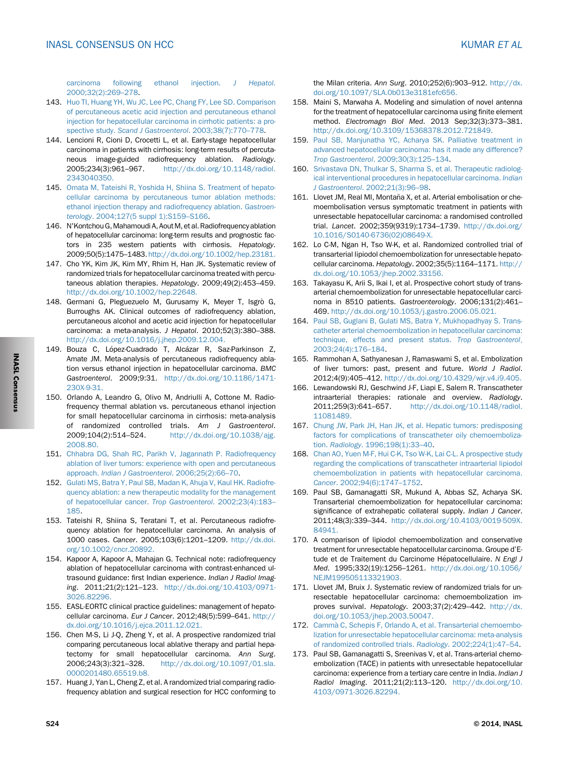<span id="page-21-0"></span>[carcinoma following ethanol injection.](http://refhub.elsevier.com/S0973-6883(14)00271-0/sref139) J Hepatol. [2000;32\(2\):269](http://refhub.elsevier.com/S0973-6883(14)00271-0/sref139)–278.

- 143. [Huo TI, Huang YH, Wu JC, Lee PC, Chang FY, Lee SD. Comparison](http://refhub.elsevier.com/S0973-6883(14)00271-0/sref140) [of percutaneous acetic acid injection and percutaneous ethanol](http://refhub.elsevier.com/S0973-6883(14)00271-0/sref140) [injection for hepatocellular carcinoma in cirrhotic patients: a pro](http://refhub.elsevier.com/S0973-6883(14)00271-0/sref140)spective study. [Scand J Gastroenterol](http://refhub.elsevier.com/S0973-6883(14)00271-0/sref140). 2003;38(7):770–778.
- 144. Lencioni R, Cioni D, Crocetti L, et al. Early-stage hepatocellular carcinoma in patients with cirrhosis: long-term results of percutaneous image-guided radiofrequency ablation. Radiology. 2005;234(3):961–967. [http://dx.doi.org/10.1148/radiol.](http://dx.doi.org/10.1148/radiol.2343040350) [2343040350.](http://dx.doi.org/10.1148/radiol.2343040350)
- 145. [Omata M, Tateishi R, Yoshida H, Shiina S. Treatment of hepato](http://refhub.elsevier.com/S0973-6883(14)00271-0/sref142)[cellular carcinoma by percutaneous tumor ablation methods:](http://refhub.elsevier.com/S0973-6883(14)00271-0/sref142) [ethanol injection therapy and radiofrequency ablation.](http://refhub.elsevier.com/S0973-6883(14)00271-0/sref142) Gastroenterology[. 2004;127\(5 suppl 1\):S159](http://refhub.elsevier.com/S0973-6883(14)00271-0/sref142)–S166.
- 146. N'KontchouG,Mahamoudi A, Aout M, et al. Radiofrequency ablation of hepatocellular carcinoma: long-term results and prognostic factors in 235 western patients with cirrhosis. Hepatology. 2009;50(5):1475–1483. [http://dx.doi.org/10.1002/hep.23181.](http://dx.doi.org/10.1002/hep.23181)
- 147. Cho YK, Kim JK, Kim MY, Rhim H, Han JK. Systematic review of randomized trials for hepatocellular carcinoma treated with percutaneous ablation therapies. Hepatology. 2009;49(2):453–459. [http://dx.doi.org/10.1002/hep.22648.](http://dx.doi.org/10.1002/hep.22648)
- 148. Germani G, Pleguezuelo M, Gurusamy K, Meyer T, Isgrò G, Burroughs AK. Clinical outcomes of radiofrequency ablation, percutaneous alcohol and acetic acid injection for hepatocellular carcinoma: a meta-analysis. J Hepatol. 2010;52(3):380–388. [http://dx.doi.org/10.1016/j.jhep.2009.12.004.](http://dx.doi.org/10.1016/j.jhep.2009.12.004)
- 149. Bouza C, López-Cuadrado T, Alcázar R, Saz-Parkinson Z, Amate JM. Meta-analysis of percutaneous radiofrequency ablation versus ethanol injection in hepatocellular carcinoma. BMC Gastroenterol. 2009;9:31. [http://dx.doi.org/10.1186/1471-](http://dx.doi.org/10.1186/1471-230X-9-31) [230X-9-31.](http://dx.doi.org/10.1186/1471-230X-9-31)
- 150. Orlando A, Leandro G, Olivo M, Andriulli A, Cottone M. Radiofrequency thermal ablation vs. percutaneous ethanol injection for small hepatocellular carcinoma in cirrhosis: meta-analysis of randomized controlled trials. Am J Gastroenterol. 2009;104(2):514–524. [http://dx.doi.org/10.1038/ajg.](http://dx.doi.org/10.1038/ajg.2008.80) [2008.80.](http://dx.doi.org/10.1038/ajg.2008.80)
- 151. [Chhabra DG, Shah RC, Parikh V, Jagannath P. Radiofrequency](http://refhub.elsevier.com/S0973-6883(14)00271-0/sref148) [ablation of liver tumors: experience with open and percutaneous](http://refhub.elsevier.com/S0973-6883(14)00271-0/sref148) approach. [Indian J Gastroenterol](http://refhub.elsevier.com/S0973-6883(14)00271-0/sref148). 2006;25(2):66–70.
- 152. [Gulati MS, Batra Y, Paul SB, Madan K, Ahuja V, Kaul HK. Radiofre](http://refhub.elsevier.com/S0973-6883(14)00271-0/sref149)[quency ablation: a new therapeutic modality for the management](http://refhub.elsevier.com/S0973-6883(14)00271-0/sref149) [of hepatocellular cancer.](http://refhub.elsevier.com/S0973-6883(14)00271-0/sref149) Trop Gastroenterol. 2002;23(4):183– [185](http://refhub.elsevier.com/S0973-6883(14)00271-0/sref149).
- 153. Tateishi R, Shiina S, Teratani T, et al. Percutaneous radiofrequency ablation for hepatocellular carcinoma. An analysis of 1000 cases. Cancer. 2005;103(6):1201–1209. [http://dx.doi.](http://dx.doi.org/10.1002/cncr.20892) [org/10.1002/cncr.20892.](http://dx.doi.org/10.1002/cncr.20892)
- 154. Kapoor A, Kapoor A, Mahajan G. Technical note: radiofrequency ablation of hepatocellular carcinoma with contrast-enhanced ultrasound guidance: first Indian experience. Indian J Radiol Imaging. 2011;21(2):121–123. [http://dx.doi.org/10.4103/0971-](http://dx.doi.org/10.4103/0971-3026.82296) [3026.82296.](http://dx.doi.org/10.4103/0971-3026.82296)
- 155. EASL-EORTC clinical practice guidelines: management of hepatocellular carcinoma. Eur J Cancer. 2012;48(5):599–641. [http://](http://dx.doi.org/10.1016/j.ejca.2011.12.021) [dx.doi.org/10.1016/j.ejca.2011.12.021.](http://dx.doi.org/10.1016/j.ejca.2011.12.021)
- 156. Chen M-S, Li J-Q, Zheng Y, et al. A prospective randomized trial comparing percutaneous local ablative therapy and partial hepatectomy for small hepatocellular carcinoma. Ann Surg. 2006;243(3):321–328. [http://dx.doi.org/10.1097/01.sla.](http://dx.doi.org/10.1097/01.sla.0000201480.65519.b8) [0000201480.65519.b8.](http://dx.doi.org/10.1097/01.sla.0000201480.65519.b8)
- 157. Huang J, Yan L, Cheng Z, et al. A randomized trial comparing radiofrequency ablation and surgical resection for HCC conforming to

the Milan criteria. Ann Surg. 2010;252(6):903–912. [http://dx.](http://dx.doi.org/10.1097/SLA.0b013e3181efc656) [doi.org/10.1097/SLA.0b013e3181efc656.](http://dx.doi.org/10.1097/SLA.0b013e3181efc656)

- 158. Maini S, Marwaha A. Modeling and simulation of novel antenna for the treatment of hepatocellular carcinoma using finite element method. Electromagn Biol Med. 2013 Sep;32(3):373–381. [http://dx.doi.org/10.3109/15368378.2012.721849.](http://dx.doi.org/10.3109/15368378.2012.721849)
- 159. [Paul SB, Manjunatha YC, Acharya SK. Palliative treatment in](http://refhub.elsevier.com/S0973-6883(14)00271-0/sref156) [advanced hepatocellular carcinoma: has it made any difference?](http://refhub.elsevier.com/S0973-6883(14)00271-0/sref156) [Trop Gastroenterol](http://refhub.elsevier.com/S0973-6883(14)00271-0/sref156). 2009;30(3):125–134.
- 160. [Srivastava DN, Thulkar S, Sharma S, et al. Therapeutic radiolog](http://refhub.elsevier.com/S0973-6883(14)00271-0/sref157)[ical interventional procedures in hepatocellular carcinoma.](http://refhub.elsevier.com/S0973-6883(14)00271-0/sref157) Indian J Gastroenterol[. 2002;21\(3\):96](http://refhub.elsevier.com/S0973-6883(14)00271-0/sref157)–98.
- 161. Llovet JM, Real MI, Montaña X, et al. Arterial embolisation or chemoembolisation versus symptomatic treatment in patients with unresectable hepatocellular carcinoma: a randomised controlled trial. Lancet. 2002;359(9319):1734–1739. [http://dx.doi.org/](http://dx.doi.org/10.1016/S0140-6736(02)08649-X) [10.1016/S0140-6736\(02\)08649-X.](http://dx.doi.org/10.1016/S0140-6736(02)08649-X)
- 162. Lo C-M, Ngan H, Tso W-K, et al. Randomized controlled trial of transarterial lipiodol chemoembolization for unresectable hepatocellular carcinoma. Hepatology. 2002;35(5):1164–1171. [http://](http://dx.doi.org/10.1053/jhep.2002.33156) [dx.doi.org/10.1053/jhep.2002.33156.](http://dx.doi.org/10.1053/jhep.2002.33156)
- 163. Takayasu K, Arii S, Ikai I, et al. Prospective cohort study of transarterial chemoembolization for unresectable hepatocellular carcinoma in 8510 patients. Gastroenterology. 2006;131(2):461– 469. [http://dx.doi.org/10.1053/j.gastro.2006.05.021.](http://dx.doi.org/10.1053/j.gastro.2006.05.021)
- 164. [Paul SB, Guglani B, Gulati MS, Batra Y, Mukhopadhyay S. Trans](http://refhub.elsevier.com/S0973-6883(14)00271-0/sref161)[catheter arterial chemoembolization in hepatocellular carcinoma:](http://refhub.elsevier.com/S0973-6883(14)00271-0/sref161) [technique, effects and present status.](http://refhub.elsevier.com/S0973-6883(14)00271-0/sref161) Trop Gastroenterol. [2003;24\(4\):176](http://refhub.elsevier.com/S0973-6883(14)00271-0/sref161)–184.
- 165. Rammohan A, Sathyanesan J, Ramaswami S, et al. Embolization of liver tumors: past, present and future. World J Radiol. 2012;4(9):405–412. [http://dx.doi.org/10.4329/wjr.v4.i9.405.](http://dx.doi.org/10.4329/wjr.v4.i9.405)
- 166. Lewandowski RJ, Geschwind J-F, Liapi E, Salem R. Transcatheter intraarterial therapies: rationale and overview. Radiology. 2011;259(3):641–657. [http://dx.doi.org/10.1148/radiol.](http://dx.doi.org/10.1148/radiol.11081489) [11081489.](http://dx.doi.org/10.1148/radiol.11081489)
- 167. [Chung JW, Park JH, Han JK, et al. Hepatic tumors: predisposing](http://refhub.elsevier.com/S0973-6883(14)00271-0/sref164) [factors for complications of transcatheter oily chemoemboliza](http://refhub.elsevier.com/S0973-6883(14)00271-0/sref164)tion. Radiology[. 1996;198\(1\):33](http://refhub.elsevier.com/S0973-6883(14)00271-0/sref164)–40.
- 168. [Chan AO, Yuen M-F, Hui C-K, Tso W-K, Lai C-L. A prospective study](http://refhub.elsevier.com/S0973-6883(14)00271-0/sref165) [regarding the complications of transcatheter intraarterial lipiodol](http://refhub.elsevier.com/S0973-6883(14)00271-0/sref165) [chemoembolization in patients with hepatocellular carcinoma.](http://refhub.elsevier.com/S0973-6883(14)00271-0/sref165) Cancer[. 2002;94\(6\):1747](http://refhub.elsevier.com/S0973-6883(14)00271-0/sref165)–1752.
- 169. Paul SB, Gamanagatti SR, Mukund A, Abbas SZ, Acharya SK. Transarterial chemoembolization for hepatocellular carcinoma: significance of extrahepatic collateral supply. Indian J Cancer. 2011;48(3):339–344. [http://dx.doi.org/10.4103/0019-509X.](http://dx.doi.org/10.4103/0019-509X.84941) [84941.](http://dx.doi.org/10.4103/0019-509X.84941)
- 170. A comparison of lipiodol chemoembolization and conservative treatment for unresectable hepatocellular carcinoma. Groupe d'Etude et de Traitement du Carcinome Hépatocellulaire. N Engl J Med. 1995;332(19):1256–1261. [http://dx.doi.org/10.1056/](http://dx.doi.org/10.1056/NEJM199505113321903) [NEJM199505113321903.](http://dx.doi.org/10.1056/NEJM199505113321903)
- 171. Llovet JM, Bruix J. Systematic review of randomized trials for unresectable hepatocellular carcinoma: chemoembolization improves survival. Hepatology. 2003;37(2):429–442. [http://dx.](http://dx.doi.org/10.1053/jhep.2003.50047) [doi.org/10.1053/jhep.2003.50047.](http://dx.doi.org/10.1053/jhep.2003.50047)
- 172. [Camm](http://refhub.elsevier.com/S0973-6883(14)00271-0/sref169)à [C, Schepis F, Orlando A, et al. Transarterial chemoembo](http://refhub.elsevier.com/S0973-6883(14)00271-0/sref169) [lization for unresectable hepatocellular carcinoma: meta-analysis](http://refhub.elsevier.com/S0973-6883(14)00271-0/sref169) [of randomized controlled trials.](http://refhub.elsevier.com/S0973-6883(14)00271-0/sref169) Radiology. 2002;224(1):47–54.
- 173. Paul SB, Gamanagatti S, Sreenivas V, et al. Trans-arterial chemoembolization (TACE) in patients with unresectable hepatocellular carcinoma: experience from a tertiary care centre in India. Indian J Radiol Imaging. 2011;21(2):113–120. [http://dx.doi.org/10.](http://dx.doi.org/10.4103/0971-3026.82294) [4103/0971-3026.82294.](http://dx.doi.org/10.4103/0971-3026.82294)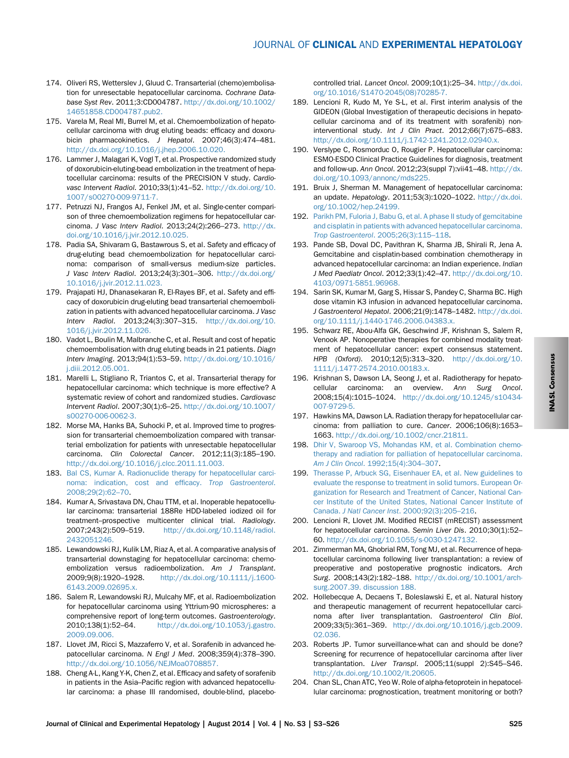- <span id="page-22-0"></span>174. Oliveri RS, Wetterslev J, Gluud C. Transarterial (chemo)embolisation for unresectable hepatocellular carcinoma. Cochrane Database Syst Rev. 2011;3:CD004787. [http://dx.doi.org/10.1002/](http://dx.doi.org/10.1002/14651858.CD004787.pub2) [14651858.CD004787.pub2.](http://dx.doi.org/10.1002/14651858.CD004787.pub2)
- 175. Varela M, Real MI, Burrel M, et al. Chemoembolization of hepatocellular carcinoma with drug eluting beads: efficacy and doxorubicin pharmacokinetics. J Hepatol. 2007;46(3):474–481. [http://dx.doi.org/10.1016/j.jhep.2006.10.020.](http://dx.doi.org/10.1016/j.jhep.2006.10.020)
- 176. Lammer J, Malagari K, Vogl T, et al. Prospective randomized study of doxorubicin-eluting-bead embolization in the treatment of hepatocellular carcinoma: results of the PRECISION V study. Cardiovasc Intervent Radiol. 2010;33(1):41–52. [http://dx.doi.org/10.](http://dx.doi.org/10.1007/s00270-009-9711-7) [1007/s00270-009-9711-7.](http://dx.doi.org/10.1007/s00270-009-9711-7)
- 177. Petruzzi NJ, Frangos AJ, Fenkel JM, et al. Single-center comparison of three chemoembolization regimens for hepatocellular carcinoma. J Vasc Interv Radiol. 2013;24(2):266–273. [http://dx.](http://dx.doi.org/10.1016/j.jvir.2012.10.025) [doi.org/10.1016/j.jvir.2012.10.025.](http://dx.doi.org/10.1016/j.jvir.2012.10.025)
- 178. Padia SA, Shivaram G, Bastawrous S, et al. Safety and efficacy of drug-eluting bead chemoembolization for hepatocellular carcinoma: comparison of small-versus medium-size particles. J Vasc Interv Radiol. 2013;24(3):301–306. [http://dx.doi.org/](http://dx.doi.org/10.1016/j.jvir.2012.11.023) [10.1016/j.jvir.2012.11.023.](http://dx.doi.org/10.1016/j.jvir.2012.11.023)
- 179. Prajapati HJ, Dhanasekaran R, El-Rayes BF, et al. Safety and efficacy of doxorubicin drug-eluting bead transarterial chemoembolization in patients with advanced hepatocellular carcinoma. J Vasc Interv Radiol. 2013;24(3):307–315. [http://dx.doi.org/10.](http://dx.doi.org/10.1016/j.jvir.2012.11.026) [1016/j.jvir.2012.11.026.](http://dx.doi.org/10.1016/j.jvir.2012.11.026)
- 180. Vadot L, Boulin M, Malbranche C, et al. Result and cost of hepatic chemoembolisation with drug eluting beads in 21 patients. Diagn Interv Imaging. 2013;94(1):53–59. [http://dx.doi.org/10.1016/](http://dx.doi.org/10.1016/j.diii.2012.05.001) [j.diii.2012.05.001.](http://dx.doi.org/10.1016/j.diii.2012.05.001)
- 181. Marelli L, Stigliano R, Triantos C, et al. Transarterial therapy for hepatocellular carcinoma: which technique is more effective? A systematic review of cohort and randomized studies. Cardiovasc Intervent Radiol. 2007;30(1):6–25. [http://dx.doi.org/10.1007/](http://dx.doi.org/10.1007/s00270-006-0062-3) [s00270-006-0062-3.](http://dx.doi.org/10.1007/s00270-006-0062-3)
- 182. Morse MA, Hanks BA, Suhocki P, et al. Improved time to progression for transarterial chemoembolization compared with transarterial embolization for patients with unresectable hepatocellular carcinoma. Clin Colorectal Cancer. 2012;11(3):185–190. [http://dx.doi.org/10.1016/j.clcc.2011.11.003.](http://dx.doi.org/10.1016/j.clcc.2011.11.003)
- 183. [Bal CS, Kumar A. Radionuclide therapy for hepatocellular carci](http://refhub.elsevier.com/S0973-6883(14)00271-0/sref180)[noma: indication, cost and ef](http://refhub.elsevier.com/S0973-6883(14)00271-0/sref180)ficacy. Trop Gastroenterol. [2008;29\(2\):62](http://refhub.elsevier.com/S0973-6883(14)00271-0/sref180)–70.
- 184. Kumar A, Srivastava DN, Chau TTM, et al. Inoperable hepatocellular carcinoma: transarterial 188Re HDD-labeled iodized oil for treatment–prospective multicenter clinical trial. Radiology. 2007;243(2):509–519. [http://dx.doi.org/10.1148/radiol.](http://dx.doi.org/10.1148/radiol.2432051246) [2432051246.](http://dx.doi.org/10.1148/radiol.2432051246)
- 185. Lewandowski RJ, Kulik LM, Riaz A, et al. A comparative analysis of transarterial downstaging for hepatocellular carcinoma: chemoembolization versus radioembolization. Am J Transplant. 2009;9(8):1920–1928. [http://dx.doi.org/10.1111/j.1600-](http://dx.doi.org/10.1111/j.1600-6143.2009.02695.x) [6143.2009.02695.x.](http://dx.doi.org/10.1111/j.1600-6143.2009.02695.x)
- 186. Salem R, Lewandowski RJ, Mulcahy MF, et al. Radioembolization for hepatocellular carcinoma using Yttrium-90 microspheres: a comprehensive report of long-term outcomes. Gastroenterology. 2010;138(1):52–64. [http://dx.doi.org/10.1053/j.gastro.](http://dx.doi.org/10.1053/j.gastro.2009.09.006) [2009.09.006.](http://dx.doi.org/10.1053/j.gastro.2009.09.006)
- 187. Llovet JM, Ricci S, Mazzaferro V, et al. Sorafenib in advanced hepatocellular carcinoma. N Engl J Med. 2008;359(4):378–390. [http://dx.doi.org/10.1056/NEJMoa0708857.](http://dx.doi.org/10.1056/NEJMoa0708857)
- 188. Cheng A-L, Kang Y-K, Chen Z, et al. Efficacy and safety of sorafenib in patients in the Asia–Pacific region with advanced hepatocellular carcinoma: a phase III randomised, double-blind, placebo-

controlled trial. Lancet Oncol. 2009;10(1):25–34. [http://dx.doi.](http://dx.doi.org/10.1016/S1470-2045(08)70285-7) [org/10.1016/S1470-2045\(08\)70285-7.](http://dx.doi.org/10.1016/S1470-2045(08)70285-7)

- 189. Lencioni R, Kudo M, Ye S-L, et al. First interim analysis of the GIDEON (Global Investigation of therapeutic decisions in hepatocellular carcinoma and of its treatment with sorafenib) noninterventional study. Int J Clin Pract. 2012;66(7):675–683. [http://dx.doi.org/10.1111/j.1742-1241.2012.02940.x.](http://dx.doi.org/10.1111/j.1742-1241.2012.02940.x)
- 190. Verslype C, Rosmorduc O, Rougier P. Hepatocellular carcinoma: ESMO-ESDO Clinical Practice Guidelines for diagnosis, treatment and follow-up. Ann Oncol. 2012;23(suppl 7):vii41–48. [http://dx.](http://dx.doi.org/10.1093/annonc/mds225) [doi.org/10.1093/annonc/mds225.](http://dx.doi.org/10.1093/annonc/mds225)
- 191. Bruix J, Sherman M. Management of hepatocellular carcinoma: an update. Hepatology. 2011;53(3):1020–1022. [http://dx.doi.](http://dx.doi.org/10.1002/hep.24199) [org/10.1002/hep.24199.](http://dx.doi.org/10.1002/hep.24199)
- 192. [Parikh PM, Fuloria J, Babu G, et al. A phase II study of gemcitabine](http://refhub.elsevier.com/S0973-6883(14)00271-0/sref189) [and cisplatin in patients with advanced hepatocellular carcinoma.](http://refhub.elsevier.com/S0973-6883(14)00271-0/sref189) [Trop Gastroenterol](http://refhub.elsevier.com/S0973-6883(14)00271-0/sref189). 2005;26(3):115–118.
- 193. Pande SB, Doval DC, Pavithran K, Sharma JB, Shirali R, Jena A. Gemcitabine and cisplatin-based combination chemotherapy in advanced hepatocellular carcinoma: an Indian experience. Indian J Med Paediatr Oncol. 2012;33(1):42–47. [http://dx.doi.org/10.](http://dx.doi.org/10.4103/0971-5851.96968) [4103/0971-5851.96968.](http://dx.doi.org/10.4103/0971-5851.96968)
- 194. Sarin SK, Kumar M, Garg S, Hissar S, Pandey C, Sharma BC. High dose vitamin K3 infusion in advanced hepatocellular carcinoma. J Gastroenterol Hepatol. 2006;21(9):1478–1482. [http://dx.doi.](http://dx.doi.org/10.1111/j.1440-1746.2006.04383.x) [org/10.1111/j.1440-1746.2006.04383.x.](http://dx.doi.org/10.1111/j.1440-1746.2006.04383.x)
- 195. Schwarz RE, Abou-Alfa GK, Geschwind JF, Krishnan S, Salem R, Venook AP. Nonoperative therapies for combined modality treatment of hepatocellular cancer: expert consensus statement. HPB (Oxford). 2010;12(5):313–320. [http://dx.doi.org/10.](http://dx.doi.org/10.1111/j.1477-2574.2010.00183.x) [1111/j.1477-2574.2010.00183.x.](http://dx.doi.org/10.1111/j.1477-2574.2010.00183.x)
- 196. Krishnan S, Dawson LA, Seong J, et al. Radiotherapy for hepatocellular carcinoma: an overview. Ann Surg Oncol. 2008;15(4):1015–1024. [http://dx.doi.org/10.1245/s10434-](http://dx.doi.org/10.1245/s10434-007-9729-5) [007-9729-5.](http://dx.doi.org/10.1245/s10434-007-9729-5)
- 197. Hawkins MA, Dawson LA. Radiation therapy for hepatocellular carcinoma: from palliation to cure. Cancer. 2006;106(8):1653– 1663. [http://dx.doi.org/10.1002/cncr.21811.](http://dx.doi.org/10.1002/cncr.21811)
- 198. [Dhir V, Swaroop VS, Mohandas KM, et al. Combination chemo](http://refhub.elsevier.com/S0973-6883(14)00271-0/sref195)[therapy and radiation for palliation of hepatocellular carcinoma.](http://refhub.elsevier.com/S0973-6883(14)00271-0/sref195) Am J Clin Oncol[. 1992;15\(4\):304](http://refhub.elsevier.com/S0973-6883(14)00271-0/sref195)–307.
- 199. [Therasse P, Arbuck SG, Eisenhauer EA, et al. New guidelines to](http://refhub.elsevier.com/S0973-6883(14)00271-0/sref196) [evaluate the response to treatment in solid tumors. European Or](http://refhub.elsevier.com/S0973-6883(14)00271-0/sref196)[ganization for Research and Treatment of Cancer, National Can](http://refhub.elsevier.com/S0973-6883(14)00271-0/sref196)[cer Institute of the United States, National Cancer Institute of](http://refhub.elsevier.com/S0973-6883(14)00271-0/sref196) Canada. J Natl Cancer Inst[. 2000;92\(3\):205](http://refhub.elsevier.com/S0973-6883(14)00271-0/sref196)–216.
- 200. Lencioni R, Llovet JM. Modified RECIST (mRECIST) assessment for hepatocellular carcinoma. Semin Liver Dis. 2010;30(1):52– 60. [http://dx.doi.org/10.1055/s-0030-1247132.](http://dx.doi.org/10.1055/s-0030-1247132)
- 201. Zimmerman MA, Ghobrial RM, Tong MJ, et al. Recurrence of hepatocellular carcinoma following liver transplantation: a review of preoperative and postoperative prognostic indicators. Arch Surg. 2008;143(2):182–188. [http://dx.doi.org/10.1001/arch](http://dx.doi.org/10.1001/archsurg.2007.39)[surg.2007.39. discussion 188.](http://dx.doi.org/10.1001/archsurg.2007.39)
- 202. Hollebecque A, Decaens T, Boleslawski E, et al. Natural history and therapeutic management of recurrent hepatocellular carcinoma after liver transplantation. Gastroenterol Clin Biol. 2009;33(5):361–369. [http://dx.doi.org/10.1016/j.gcb.2009.](http://dx.doi.org/10.1016/j.gcb.2009.02.036) [02.036.](http://dx.doi.org/10.1016/j.gcb.2009.02.036)
- 203. Roberts JP. Tumor surveillance-what can and should be done? Screening for recurrence of hepatocellular carcinoma after liver transplantation. Liver Transpl. 2005;11(suppl 2):S45–S46. [http://dx.doi.org/10.1002/lt.20605.](http://dx.doi.org/10.1002/lt.20605)
- 204. Chan SL, Chan ATC, Yeo W. Role of alpha-fetoprotein in hepatocellular carcinoma: prognostication, treatment monitoring or both?